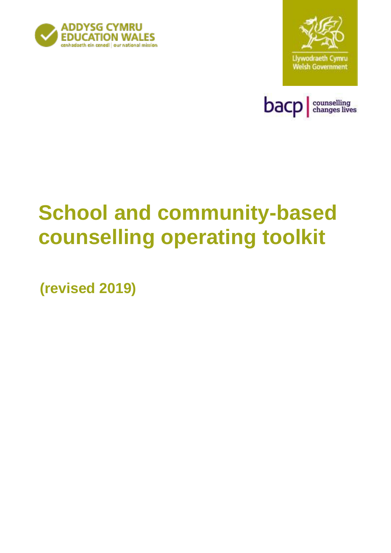





# **School and community-based counselling operating toolkit**

**(revised 2019)**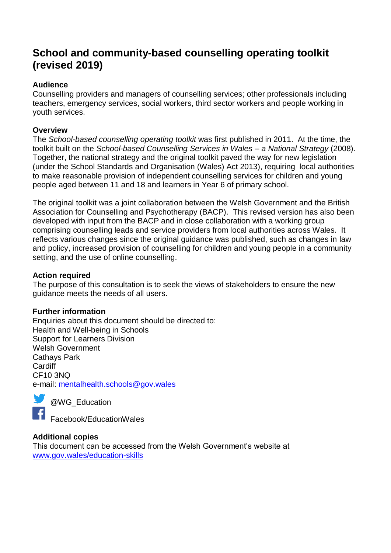# **School and community-based counselling operating toolkit (revised 2019)**

#### **Audience**

Counselling providers and managers of counselling services; other professionals including teachers, emergency services, social workers, third sector workers and people working in youth services.

#### **Overview**

The *School-based counselling operating toolkit* was first published in 2011. At the time, the toolkit built on the *School-based Counselling Services in Wales – a National Strategy* (2008). Together, the national strategy and the original toolkit paved the way for new legislation (under the School Standards and Organisation (Wales) Act 2013), requiring local authorities to make reasonable provision of independent counselling services for children and young people aged between 11 and 18 and learners in Year 6 of primary school.

The original toolkit was a joint collaboration between the Welsh Government and the British Association for Counselling and Psychotherapy (BACP). This revised version has also been developed with input from the BACP and in close collaboration with a working group comprising counselling leads and service providers from local authorities across Wales. It reflects various changes since the original guidance was published, such as changes in law and policy, increased provision of counselling for children and young people in a community setting, and the use of online counselling.

#### **Action required**

The purpose of this consultation is to seek the views of stakeholders to ensure the new guidance meets the needs of all users.

#### **Further information**

Enquiries about this document should be directed to: Health and Well-being in Schools Support for Learners Division Welsh Government Cathays Park **Cardiff** CF10 3NQ e-mail: [mentalhealth.schools@gov.wales](mailto:mentalhealth.schools@gov.wales) 



@WG\_Education

Facebook/EducationWales

#### **Additional copies**

This document can be accessed from the Welsh Government's website at [www.gov.wales/education-skills](http://www.gov.wales/education-skills)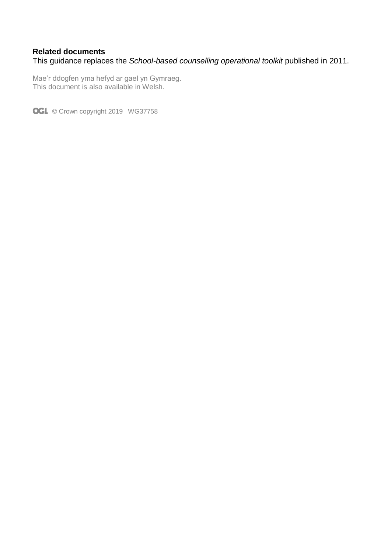#### **Related documents**

This guidance replaces the *School-based counselling operational toolkit* published in 2011.

Mae'r ddogfen yma hefyd ar gael yn Gymraeg. This document is also available in Welsh.

OGL © Crown copyright 2019 WG37758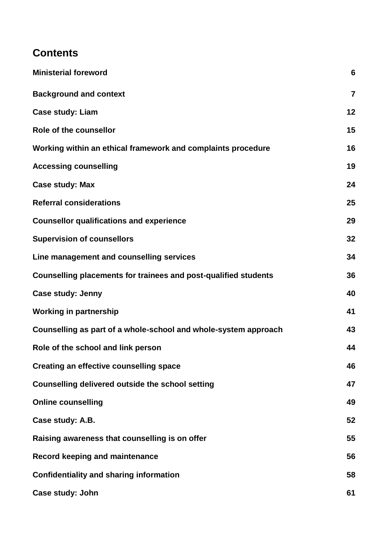# **Contents**

| <b>Ministerial foreword</b>                                     | 6              |
|-----------------------------------------------------------------|----------------|
| <b>Background and context</b>                                   | $\overline{7}$ |
| <b>Case study: Liam</b>                                         | 12             |
| Role of the counsellor                                          | 15             |
| Working within an ethical framework and complaints procedure    | 16             |
| <b>Accessing counselling</b>                                    | 19             |
| <b>Case study: Max</b>                                          | 24             |
| <b>Referral considerations</b>                                  | 25             |
| <b>Counsellor qualifications and experience</b>                 | 29             |
| <b>Supervision of counsellors</b>                               | 32             |
| Line management and counselling services                        | 34             |
| Counselling placements for trainees and post-qualified students | 36             |
| Case study: Jenny                                               | 40             |
| <b>Working in partnership</b>                                   | 41             |
| Counselling as part of a whole-school and whole-system approach | 43             |
| Role of the school and link person                              | 44             |
| <b>Creating an effective counselling space</b>                  | 46             |
| Counselling delivered outside the school setting                | 47             |
| <b>Online counselling</b>                                       | 49             |
| Case study: A.B.                                                | 52             |
| Raising awareness that counselling is on offer                  | 55             |
| <b>Record keeping and maintenance</b>                           | 56             |
| <b>Confidentiality and sharing information</b>                  | 58             |
| Case study: John                                                | 61             |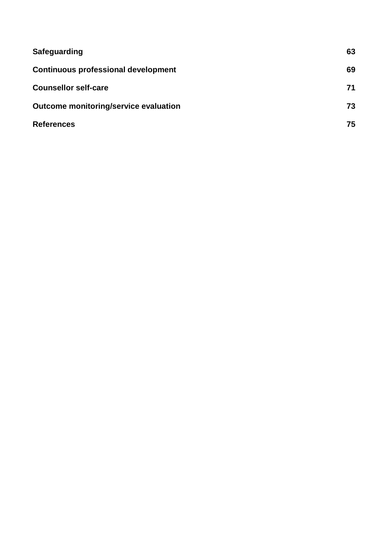| Safeguarding                               | 63 |
|--------------------------------------------|----|
| <b>Continuous professional development</b> | 69 |
| <b>Counsellor self-care</b>                | 71 |
| Outcome monitoring/service evaluation      | 73 |
| <b>References</b>                          | 75 |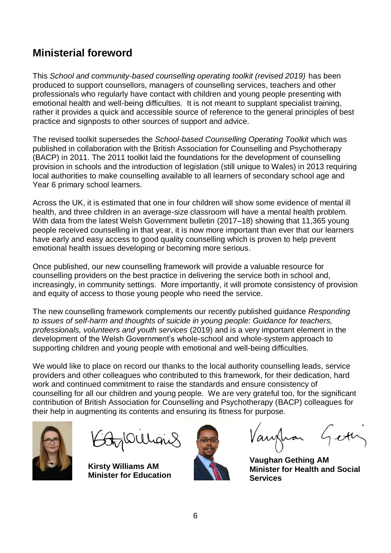# **Ministerial foreword**

This *School and community-based counselling operating toolkit (revised 2019)* has been produced to support counsellors, managers of counselling services, teachers and other professionals who regularly have contact with children and young people presenting with emotional health and well-being difficulties. It is not meant to supplant specialist training, rather it provides a quick and accessible source of reference to the general principles of best practice and signposts to other sources of support and advice.

The revised toolkit supersedes the *School-based Counselling Operating Toolkit* which was published in collaboration with the British Association for Counselling and Psychotherapy (BACP) in 2011. The 2011 toolkit laid the foundations for the development of counselling provision in schools and the introduction of legislation (still unique to Wales) in 2013 requiring local authorities to make counselling available to all learners of secondary school age and Year 6 primary school learners.

Across the UK, it is estimated that one in four children will show some evidence of mental ill health, and three children in an average-size classroom will have a mental health problem. With data from the latest Welsh Government bulletin (2017–18) showing that 11,365 young people received counselling in that year, it is now more important than ever that our learners have early and easy access to good quality counselling which is proven to help prevent emotional health issues developing or becoming more serious.

Once published, our new counselling framework will provide a valuable resource for counselling providers on the best practice in delivering the service both in school and, increasingly, in community settings. More importantly, it will promote consistency of provision and equity of access to those young people who need the service.

The new counselling framework complements our recently published guidance *Responding to issues of self-harm and thoughts of suicide in young people: Guidance for teachers, professionals, volunteers and youth services* (2019) and is a very important element in the development of the Welsh Government's whole-school and whole-system approach to supporting children and young people with emotional and well-being difficulties.

We would like to place on record our thanks to the local authority counselling leads, service providers and other colleagues who contributed to this framework, for their dedication, hard work and continued commitment to raise the standards and ensure consistency of counselling for all our children and young people. We are very grateful too, for the significant contribution of British Association for Counselling and Psychotherapy (BACP) colleagues for their help in augmenting its contents and ensuring its fitness for purpose.



**Kirsty Williams AM Minister for Education**



Vanfhar Gett

 **Vaughan Gething AM Minister for Health and Social Services**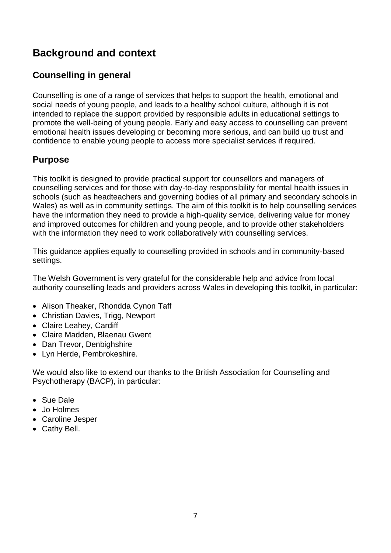# **Background and context**

# **Counselling in general**

Counselling is one of a range of services that helps to support the health, emotional and social needs of young people, and leads to a healthy school culture, although it is not intended to replace the support provided by responsible adults in educational settings to promote the well-being of young people. Early and easy access to counselling can prevent emotional health issues developing or becoming more serious, and can build up trust and confidence to enable young people to access more specialist services if required.

# **Purpose**

This toolkit is designed to provide practical support for counsellors and managers of counselling services and for those with day-to-day responsibility for mental health issues in schools (such as headteachers and governing bodies of all primary and secondary schools in Wales) as well as in community settings. The aim of this toolkit is to help counselling services have the information they need to provide a high-quality service, delivering value for money and improved outcomes for children and young people, and to provide other stakeholders with the information they need to work collaboratively with counselling services.

This guidance applies equally to counselling provided in schools and in community-based settings.

The Welsh Government is very grateful for the considerable help and advice from local authority counselling leads and providers across Wales in developing this toolkit, in particular:

- Alison Theaker, Rhondda Cynon Taff
- Christian Davies, Trigg, Newport
- Claire Leahey, Cardiff
- Claire Madden, Blaenau Gwent
- Dan Trevor, Denbighshire
- Lyn Herde, Pembrokeshire.

We would also like to extend our thanks to the British Association for Counselling and Psychotherapy (BACP), in particular:

- Sue Dale
- Jo Holmes
- Caroline Jesper
- Cathy Bell.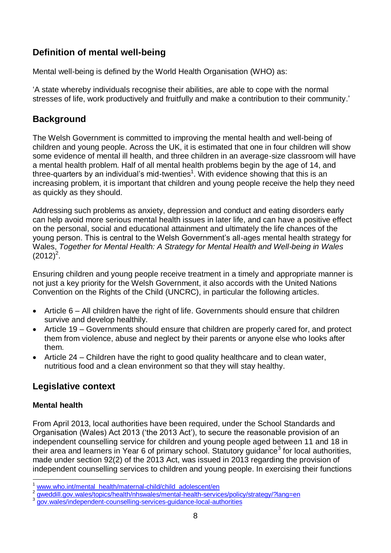# **Definition of mental well-being**

Mental well-being is defined by the World Health Organisation (WHO) as:

'A state whereby individuals recognise their abilities, are able to cope with the normal stresses of life, work productively and fruitfully and make a contribution to their community.'

# **Background**

The Welsh Government is committed to improving the mental health and well-being of children and young people. Across the UK, it is estimated that one in four children will show some evidence of mental ill health, and three children in an average-size classroom will have a mental health problem. Half of all mental health problems begin by the age of 14, and three-quarters by an individual's mid-twenties<sup>1</sup>. With evidence showing that this is an increasing problem, it is important that children and young people receive the help they need as quickly as they should.

Addressing such problems as anxiety, depression and conduct and eating disorders early can help avoid more serious mental health issues in later life, and can have a positive effect on the personal, social and educational attainment and ultimately the life chances of the young person. This is central to the Welsh Government's all-ages mental health strategy for Wales, *Together for Mental Health: A Strategy for Mental Health and Well-being in Wales*  $(2012)^2$ .

Ensuring children and young people receive treatment in a timely and appropriate manner is not just a key priority for the Welsh Government, it also accords with the United Nations Convention on the Rights of the Child (UNCRC), in particular the following articles.

- Article 6 All children have the right of life. Governments should ensure that children survive and develop healthily.
- Article 19 Governments should ensure that children are properly cared for, and protect them from violence, abuse and neglect by their parents or anyone else who looks after them.
- Article 24 Children have the right to good quality healthcare and to clean water, nutritious food and a clean environment so that they will stay healthy.

# **Legislative context**

#### **Mental health**

From April 2013, local authorities have been required, under the School Standards and Organisation (Wales) Act 2013 ('the 2013 Act'), to secure the reasonable provision of an independent counselling service for children and young people aged between 11 and 18 in their area and learners in Year 6 of primary school. Statutory guidance<sup>3</sup> for local authorities, made under section 92(2) of the 2013 Act, was issued in 2013 regarding the provision of independent counselling services to children and young people. In exercising their functions

 $\overline{\phantom{a}}$ [www.who.int/mental\\_health/maternal-child/child\\_adolescent/en](https://www.who.int/mental_health/maternal-child/child_adolescent/en/)

<sup>2</sup> [gweddill.gov.wales/topics/health/nhswales/mental-health-services/policy/strategy/?lang=en](https://gweddill.gov.wales/topics/health/nhswales/mental-health-services/policy/strategy/?lang=en)

<sup>3</sup> [gov.wales/independent-counselling-services-guidance-local-authorities](https://gov.wales/independent-counselling-services-guidance-local-authorities)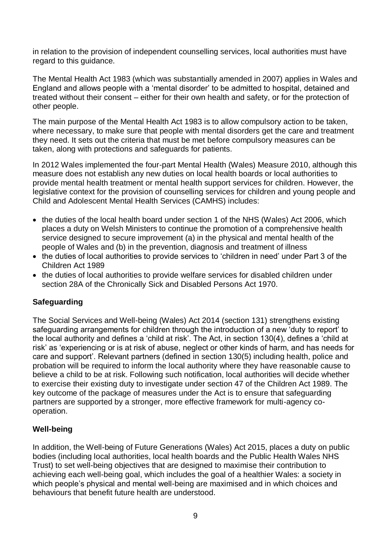in relation to the provision of independent counselling services, local authorities must have regard to this guidance.

The Mental Health Act 1983 (which was substantially amended in 2007) applies in Wales and England and allows people with a 'mental disorder' to be admitted to hospital, detained and treated without their consent – either for their own health and safety, or for the protection of other people.

The main purpose of the Mental Health Act 1983 is to allow compulsory action to be taken, where necessary, to make sure that people with mental disorders get the care and treatment they need. It sets out the criteria that must be met before compulsory measures can be taken, along with protections and safeguards for patients.

In 2012 Wales implemented the four-part Mental Health (Wales) Measure 2010, although this measure does not establish any new duties on local health boards or local authorities to provide mental health treatment or mental health support services for children. However, the legislative context for the provision of counselling services for children and young people and Child and Adolescent Mental Health Services (CAMHS) includes:

- the duties of the local health board under section 1 of the NHS (Wales) Act 2006, which places a duty on Welsh Ministers to continue the promotion of a comprehensive health service designed to secure improvement (a) in the physical and mental health of the people of Wales and (b) in the prevention, diagnosis and treatment of illness
- the duties of local authorities to provide services to 'children in need' under Part 3 of the Children Act 1989
- the duties of local authorities to provide welfare services for disabled children under section 28A of the Chronically Sick and Disabled Persons Act 1970.

#### **Safeguarding**

The Social Services and Well-being (Wales) Act 2014 (section 131) strengthens existing safeguarding arrangements for children through the introduction of a new 'duty to report' to the local authority and defines a 'child at risk'. The Act, in section 130(4), defines a 'child at risk' as 'experiencing or is at risk of abuse, neglect or other kinds of harm, and has needs for care and support'. Relevant partners (defined in section 130(5) including health, police and probation will be required to inform the local authority where they have reasonable cause to believe a child to be at risk. Following such notification, local authorities will decide whether to exercise their existing duty to investigate under section 47 of the Children Act 1989. The key outcome of the package of measures under the Act is to ensure that safeguarding partners are supported by a stronger, more effective framework for multi-agency cooperation.

#### **Well-being**

In addition, the Well-being of Future Generations (Wales) Act 2015, places a duty on public bodies (including local authorities, local health boards and the Public Health Wales NHS Trust) to set well-being objectives that are designed to maximise their contribution to achieving each well-being goal, which includes the goal of a healthier Wales: a society in which people's physical and mental well-being are maximised and in which choices and behaviours that benefit future health are understood.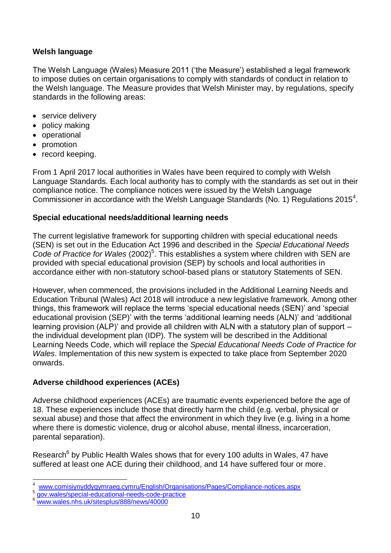#### **Welsh language**

The Welsh Language (Wales) Measure 2011 ('the Measure') established a legal framework to impose duties on certain organisations to comply with standards of conduct in relation to the Welsh language. The Measure provides that Welsh Minister may, by regulations, specify standards in the following areas:

- service delivery
- policy making
- operational
- promotion
- record keeping.

From 1 April 2017 local authorities in Wales have been required to comply with Welsh Language Standards. Each local authority has to comply with the standards as set out in their compliance notice. The compliance notices were issued by the Welsh Language Commissioner in accordance with the Welsh Language Standards (No. 1) Regulations 2015 $^4$ .

#### **Special educational needs/additional learning needs**

The current legislative framework for supporting children with special educational needs (SEN) is set out in the Education Act 1996 and described in the *Special Educational Needs*  Code of Practice for Wales (2002)<sup>5</sup>. This establishes a system where children with SEN are provided with special educational provision (SEP) by schools and local authorities in accordance either with non-statutory school-based plans or statutory Statements of SEN.

However, when commenced, the provisions included in the Additional Learning Needs and Education Tribunal (Wales) Act 2018 will introduce a new legislative framework. Among other things, this framework will replace the terms 'special educational needs (SEN)' and 'special educational provision (SEP)' with the terms 'additional learning needs (ALN)' and 'additional learning provision (ALP)' and provide all children with ALN with a statutory plan of support – the individual development plan (IDP). The system will be described in the Additional Learning Needs Code, which will replace the *Special Educational Needs Code of Practice for Wales*. Implementation of this new system is expected to take place from September 2020 onwards.

#### **Adverse childhood experiences (ACEs)**

Adverse childhood experiences (ACEs) are traumatic events experienced before the age of 18. These experiences include those that directly harm the child (e.g. verbal, physical or sexual abuse) and those that affect the environment in which they live (e.g. living in a home where there is domestic violence, drug or alcohol abuse, mental illness, incarceration, parental separation).

Research<sup>6</sup> by Public Health Wales shows that for every 100 adults in Wales, 47 have suffered at least one ACE during their childhood, and 14 have suffered four or more.

 $\overline{a}$ 4 [www.comisiynyddygymraeg.cymru/English/Organisations/Pages/Compliance-notices.aspx](http://www.comisiynyddygymraeg.cymru/English/Organisations/Pages/Compliance-notices.aspx)

<sup>5</sup> [gov.wales/special-educational-needs-code-practice](https://gov.wales/special-educational-needs-code-practice)

[www.wales.nhs.uk/sitesplus/888/news/40000](http://www.wales.nhs.uk/sitesplus/888/news/40000/)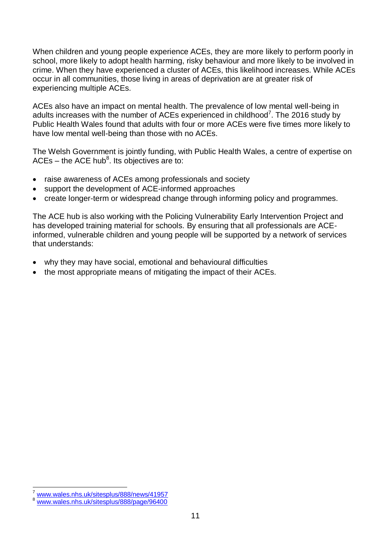When children and young people experience ACEs, they are more likely to perform poorly in school, more likely to adopt health harming, risky behaviour and more likely to be involved in crime. When they have experienced a cluster of ACEs, this likelihood increases. While ACEs occur in all communities, those living in areas of deprivation are at greater risk of experiencing multiple ACEs.

ACEs also have an impact on mental health. The prevalence of low mental well-being in adults increases with the number of ACEs experienced in childhood<sup>7</sup>. The 2016 study by Public Health Wales found that adults with four or more ACEs were five times more likely to have low mental well-being than those with no ACEs.

The Welsh Government is jointly funding, with Public Health Wales, a centre of expertise on ACEs – the ACE hub<sup>8</sup>. Its objectives are to:

- raise awareness of ACEs among professionals and society
- support the development of ACE-informed approaches
- create longer-term or widespread change through informing policy and programmes.

The ACE hub is also working with the Policing Vulnerability Early Intervention Project and has developed training material for schools. By ensuring that all professionals are ACEinformed, vulnerable children and young people will be supported by a network of services that understands:

- why they may have social, emotional and behavioural difficulties
- the most appropriate means of mitigating the impact of their ACEs.

 $\overline{a}$ 

[www.wales.nhs.uk/sitesplus/888/news/41957](http://www.wales.nhs.uk/sitesplus/888/news/41957)

[www.wales.nhs.uk/sitesplus/888/page/96400](http://www.wales.nhs.uk/sitesplus/888/page/96400)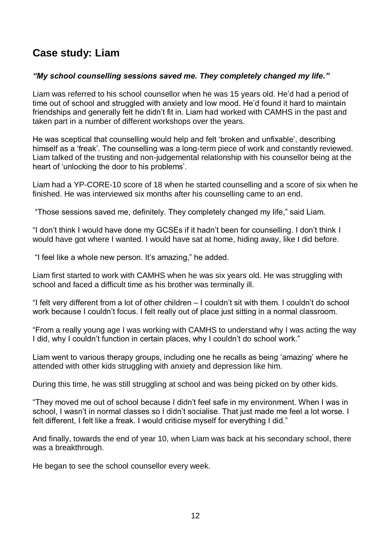# **Case study: Liam**

#### *"My school counselling sessions saved me. They completely changed my life."*

Liam was referred to his school counsellor when he was 15 years old. He'd had a period of time out of school and struggled with anxiety and low mood. He'd found it hard to maintain friendships and generally felt he didn't fit in. Liam had worked with CAMHS in the past and taken part in a number of different workshops over the years.

He was sceptical that counselling would help and felt 'broken and unfixable', describing himself as a 'freak'. The counselling was a long-term piece of work and constantly reviewed. Liam talked of the trusting and non-judgemental relationship with his counsellor being at the heart of 'unlocking the door to his problems'.

Liam had a YP-CORE-10 score of 18 when he started counselling and a score of six when he finished. He was interviewed six months after his counselling came to an end.

"Those sessions saved me, definitely. They completely changed my life," said Liam.

"I don't think I would have done my GCSEs if it hadn't been for counselling. I don't think I would have got where I wanted. I would have sat at home, hiding away, like I did before.

"I feel like a whole new person. It's amazing," he added.

Liam first started to work with CAMHS when he was six years old. He was struggling with school and faced a difficult time as his brother was terminally ill.

"I felt very different from a lot of other children – I couldn't sit with them. I couldn't do school work because I couldn't focus. I felt really out of place just sitting in a normal classroom.

"From a really young age I was working with CAMHS to understand why I was acting the way I did, why I couldn't function in certain places, why I couldn't do school work."

Liam went to various therapy groups, including one he recalls as being 'amazing' where he attended with other kids struggling with anxiety and depression like him.

During this time, he was still struggling at school and was being picked on by other kids.

"They moved me out of school because I didn't feel safe in my environment. When I was in school, I wasn't in normal classes so I didn't socialise. That just made me feel a lot worse. I felt different, I felt like a freak. I would criticise myself for everything I did."

And finally, towards the end of year 10, when Liam was back at his secondary school, there was a breakthrough.

He began to see the school counsellor every week.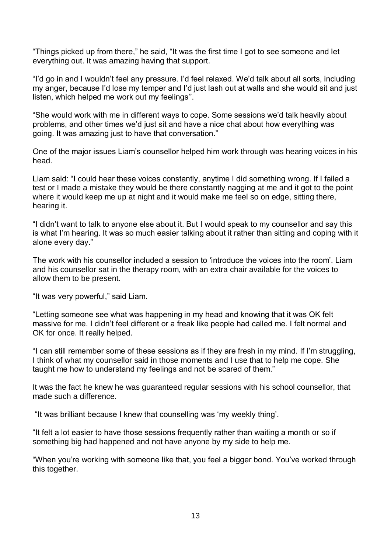"Things picked up from there," he said, "It was the first time I got to see someone and let everything out. It was amazing having that support.

"I'd go in and I wouldn't feel any pressure. I'd feel relaxed. We'd talk about all sorts, including my anger, because I'd lose my temper and I'd just lash out at walls and she would sit and just listen, which helped me work out my feelings''.

"She would work with me in different ways to cope. Some sessions we'd talk heavily about problems, and other times we'd just sit and have a nice chat about how everything was going. It was amazing just to have that conversation."

One of the major issues Liam's counsellor helped him work through was hearing voices in his head.

Liam said: "I could hear these voices constantly, anytime I did something wrong. If I failed a test or I made a mistake they would be there constantly nagging at me and it got to the point where it would keep me up at night and it would make me feel so on edge, sitting there, hearing it.

"I didn't want to talk to anyone else about it. But I would speak to my counsellor and say this is what I'm hearing. It was so much easier talking about it rather than sitting and coping with it alone every day."

The work with his counsellor included a session to 'introduce the voices into the room'. Liam and his counsellor sat in the therapy room, with an extra chair available for the voices to allow them to be present.

"It was very powerful," said Liam.

"Letting someone see what was happening in my head and knowing that it was OK felt massive for me. I didn't feel different or a freak like people had called me. I felt normal and OK for once. It really helped.

"I can still remember some of these sessions as if they are fresh in my mind. If I'm struggling, I think of what my counsellor said in those moments and I use that to help me cope. She taught me how to understand my feelings and not be scared of them."

It was the fact he knew he was guaranteed regular sessions with his school counsellor, that made such a difference.

"It was brilliant because I knew that counselling was 'my weekly thing'.

"It felt a lot easier to have those sessions frequently rather than waiting a month or so if something big had happened and not have anyone by my side to help me.

"When you're working with someone like that, you feel a bigger bond. You've worked through this together.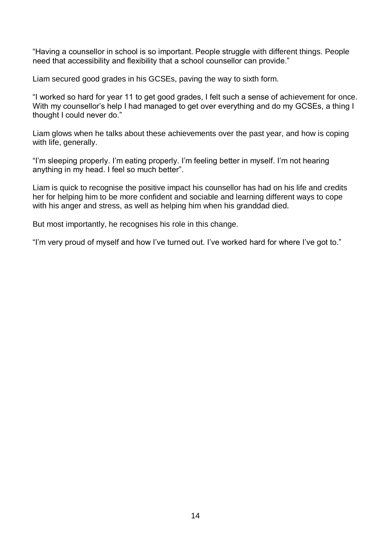"Having a counsellor in school is so important. People struggle with different things. People need that accessibility and flexibility that a school counsellor can provide."

Liam secured good grades in his GCSEs, paving the way to sixth form.

"I worked so hard for year 11 to get good grades, I felt such a sense of achievement for once. With my counsellor's help I had managed to get over everything and do my GCSEs, a thing I thought I could never do."

Liam glows when he talks about these achievements over the past year, and how is coping with life, generally.

"I'm sleeping properly. I'm eating properly. I'm feeling better in myself. I'm not hearing anything in my head. I feel so much better".

Liam is quick to recognise the positive impact his counsellor has had on his life and credits her for helping him to be more confident and sociable and learning different ways to cope with his anger and stress, as well as helping him when his granddad died.

But most importantly, he recognises his role in this change.

"I'm very proud of myself and how I've turned out. I've worked hard for where I've got to."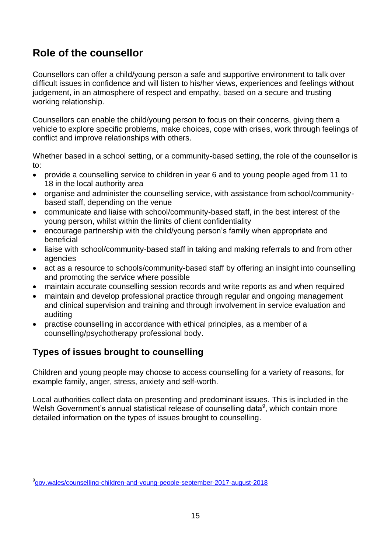# **Role of the counsellor**

Counsellors can offer a child/young person a safe and supportive environment to talk over difficult issues in confidence and will listen to his/her views, experiences and feelings without judgement, in an atmosphere of respect and empathy, based on a secure and trusting working relationship.

Counsellors can enable the child/young person to focus on their concerns, giving them a vehicle to explore specific problems, make choices, cope with crises, work through feelings of conflict and improve relationships with others.

Whether based in a school setting, or a community-based setting, the role of the counsellor is to:

- provide a counselling service to children in year 6 and to young people aged from 11 to 18 in the local authority area
- organise and administer the counselling service, with assistance from school/communitybased staff, depending on the venue
- communicate and liaise with school/community-based staff, in the best interest of the young person, whilst within the limits of client confidentiality
- encourage partnership with the child/young person's family when appropriate and beneficial
- liaise with school/community-based staff in taking and making referrals to and from other agencies
- act as a resource to schools/community-based staff by offering an insight into counselling and promoting the service where possible
- maintain accurate counselling session records and write reports as and when required
- maintain and develop professional practice through regular and ongoing management and clinical supervision and training and through involvement in service evaluation and auditing
- practise counselling in accordance with ethical principles, as a member of a counselling/psychotherapy professional body.

# **Types of issues brought to counselling**

Children and young people may choose to access counselling for a variety of reasons, for example family, anger, stress, anxiety and self-worth.

Local authorities collect data on presenting and predominant issues. This is included in the Welsh Government's annual statistical release of counselling data $9$ , which contain more detailed information on the types of issues brought to counselling.

l 9 [gov.wales/counselling-children-and-young-people-september-2017-august-2018](https://gov.wales/counselling-children-and-young-people-september-2017-august-2018)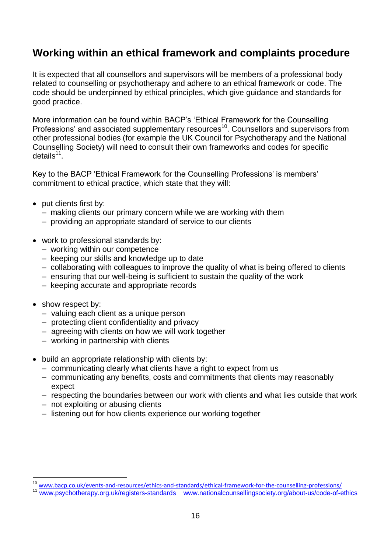# **Working within an ethical framework and complaints procedure**

It is expected that all counsellors and supervisors will be members of a professional body related to counselling or psychotherapy and adhere to an ethical framework or code. The code should be underpinned by ethical principles, which give guidance and standards for good practice.

More information can be found within BACP's 'Ethical Framework for the Counselling Professions' and associated supplementary resources<sup>10</sup>. Counsellors and supervisors from other professional bodies (for example the UK Council for Psychotherapy and the National Counselling Society) will need to consult their own frameworks and codes for specific details<sup>11</sup>.

Key to the BACP 'Ethical Framework for the Counselling Professions' is members' commitment to ethical practice, which state that they will:

- put clients first by:
	- making clients our primary concern while we are working with them
	- providing an appropriate standard of service to our clients
- work to professional standards by:
	- working within our competence
	- keeping our skills and knowledge up to date
	- collaborating with colleagues to improve the quality of what is being offered to clients
	- ensuring that our well-being is sufficient to sustain the quality of the work
	- keeping accurate and appropriate records
- show respect by:

 $\overline{a}$ 

- valuing each client as a unique person
- protecting client confidentiality and privacy
- agreeing with clients on how we will work together
- working in partnership with clients
- build an appropriate relationship with clients by:
	- communicating clearly what clients have a right to expect from us
	- communicating any benefits, costs and commitments that clients may reasonably expect
	- respecting the boundaries between our work with clients and what lies outside that work
	- not exploiting or abusing clients
	- listening out for how clients experience our working together

<sup>10</sup> [www.bacp.co.uk/events-and-resources/ethics-and-standards/ethical-framework-for-the-counselling-professions/](http://www.bacp.co.uk/events-and-resources/ethics-and-standards/ethical-framework-for-the-counselling-professions/)

<sup>11</sup> [www.psychotherapy.org.uk/registers-standards](http://www.psychotherapy.org.uk/registers-standards/) [www.nationalcounsellingsociety.org/about-us/code-of-ethics](http://www.nationalcounsellingsociety.org/about-us/code-of-ethics/)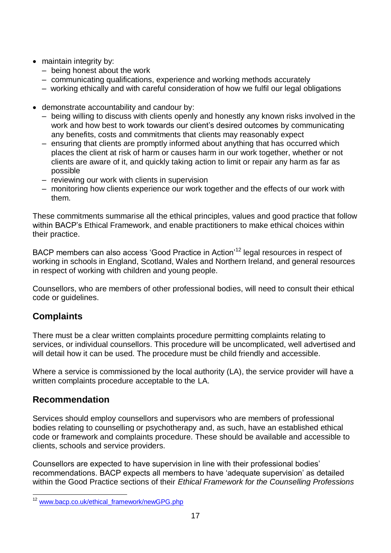- maintain integrity by:
	- being honest about the work
	- communicating qualifications, experience and working methods accurately
	- working ethically and with careful consideration of how we fulfil our legal obligations
- demonstrate accountability and candour by:
	- being willing to discuss with clients openly and honestly any known risks involved in the work and how best to work towards our client's desired outcomes by communicating any benefits, costs and commitments that clients may reasonably expect
	- ensuring that clients are promptly informed about anything that has occurred which places the client at risk of harm or causes harm in our work together, whether or not clients are aware of it, and quickly taking action to limit or repair any harm as far as possible
	- reviewing our work with clients in supervision
	- monitoring how clients experience our work together and the effects of our work with them.

These commitments summarise all the ethical principles, values and good practice that follow within BACP's Ethical Framework, and enable practitioners to make ethical choices within their practice.

BACP members can also access 'Good Practice in Action'<sup>12</sup> legal resources in respect of working in schools in England, Scotland, Wales and Northern Ireland, and general resources in respect of working with children and young people.

Counsellors, who are members of other professional bodies, will need to consult their ethical code or guidelines.

### **Complaints**

There must be a clear written complaints procedure permitting complaints relating to services, or individual counsellors. This procedure will be uncomplicated, well advertised and will detail how it can be used. The procedure must be child friendly and accessible.

Where a service is commissioned by the local authority (LA), the service provider will have a written complaints procedure acceptable to the LA.

#### **Recommendation**

Services should employ counsellors and supervisors who are members of professional bodies relating to counselling or psychotherapy and, as such, have an established ethical code or framework and complaints procedure. These should be available and accessible to clients, schools and service providers.

Counsellors are expected to have supervision in line with their professional bodies' recommendations. BACP expects all members to have 'adequate supervision' as detailed within the Good Practice sections of their *Ethical Framework for the Counselling Professions*

 $12$ [www.bacp.co.uk/ethical\\_framework/newGPG.php](http://www.bacp.co.uk/ethical_framework/newGPG.php)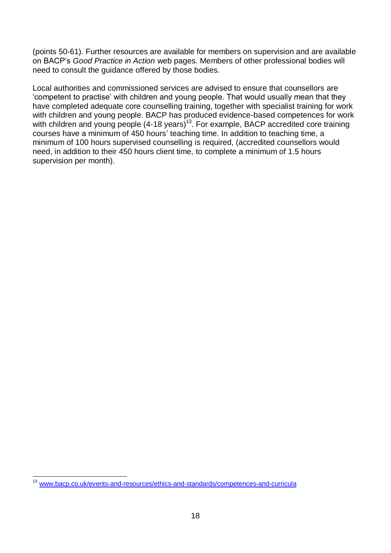(points 50-61). Further resources are available for members on supervision and are available on BACP's *Good Practice in Action* web pages. Members of other professional bodies will need to consult the guidance offered by those bodies.

Local authorities and commissioned services are advised to ensure that counsellors are 'competent to practise' with children and young people. That would usually mean that they have completed adequate core counselling training, together with specialist training for work with children and young people. BACP has produced evidence-based competences for work with children and young people (4-18 years)<sup>13</sup>. For example, BACP accredited core training courses have a minimum of 450 hours' teaching time. In addition to teaching time, a minimum of 100 hours supervised counselling is required, (accredited counsellors would need, in addition to their 450 hours client time, to complete a minimum of 1.5 hours supervision per month).

 $\overline{\phantom{a}}$ 

<sup>13</sup> [www.bacp.co.uk/events-and-resources/ethics-and-standards/competences-and-curricula](http://www.bacp.co.uk/events-and-resources/ethics-and-standards/competences-and-curricula/)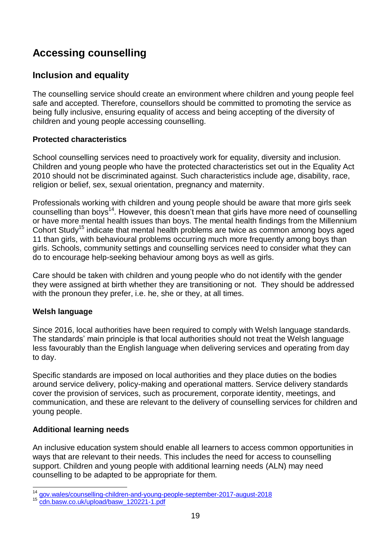# **Accessing counselling**

### **Inclusion and equality**

The counselling service should create an environment where children and young people feel safe and accepted. Therefore, counsellors should be committed to promoting the service as being fully inclusive, ensuring equality of access and being accepting of the diversity of children and young people accessing counselling.

#### **Protected characteristics**

School counselling services need to proactively work for equality, diversity and inclusion. Children and young people who have the protected characteristics set out in the Equality Act 2010 should not be discriminated against. Such characteristics include age, disability, race, religion or belief, sex, sexual orientation, pregnancy and maternity.

Professionals working with children and young people should be aware that more girls seek counselling than boys<sup>14</sup>. However, this doesn't mean that girls have more need of counselling or have more mental health issues than boys. The mental health findings from the Millennium Cohort Study<sup>15</sup> indicate that mental health problems are twice as common among boys aged 11 than girls, with behavioural problems occurring much more frequently among boys than girls. Schools, community settings and counselling services need to consider what they can do to encourage help-seeking behaviour among boys as well as girls.

Care should be taken with children and young people who do not identify with the gender they were assigned at birth whether they are transitioning or not. They should be addressed with the pronoun they prefer, i.e. he, she or they, at all times.

#### **Welsh language**

Since 2016, local authorities have been required to comply with Welsh language standards. The standards' main principle is that local authorities should not treat the Welsh language less favourably than the English language when delivering services and operating from day to day.

Specific standards are imposed on local authorities and they place duties on the bodies around service delivery, policy-making and operational matters. Service delivery standards cover the provision of services, such as procurement, corporate identity, meetings, and communication, and these are relevant to the delivery of counselling services for children and young people.

#### **Additional learning needs**

An inclusive education system should enable all learners to access common opportunities in ways that are relevant to their needs. This includes the need for access to counselling support. Children and young people with additional learning needs (ALN) may need counselling to be adapted to be appropriate for them.

 $\overline{\phantom{a}}$ <sup>14</sup> [gov.wales/counselling-children-and-young-people-september-2017-august-2018](https://gov.wales/counselling-children-and-young-people-september-2017-august-2018)

<sup>15</sup> [cdn.basw.co.uk/upload/basw\\_120221-1.pdf](http://cdn.basw.co.uk/upload/basw_120221-1.pdf)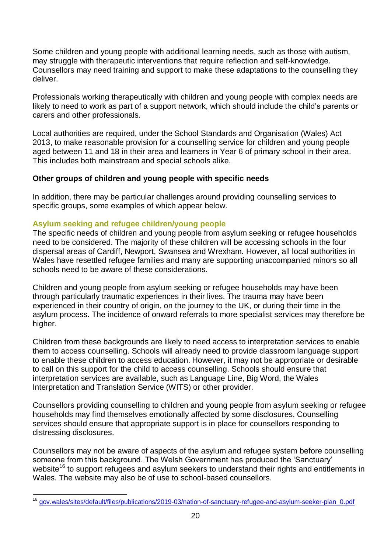Some children and young people with additional learning needs, such as those with autism, may struggle with therapeutic interventions that require reflection and self-knowledge. Counsellors may need training and support to make these adaptations to the counselling they deliver.

Professionals working therapeutically with children and young people with complex needs are likely to need to work as part of a support network, which should include the child's parents or carers and other professionals.

Local authorities are required, under the School Standards and Organisation (Wales) Act 2013, to make reasonable provision for a counselling service for children and young people aged between 11 and 18 in their area and learners in Year 6 of primary school in their area. This includes both mainstream and special schools alike.

#### **Other groups of children and young people with specific needs**

In addition, there may be particular challenges around providing counselling services to specific groups, some examples of which appear below.

#### **Asylum seeking and refugee children/young people**

The specific needs of children and young people from asylum seeking or refugee households need to be considered. The majority of these children will be accessing schools in the four dispersal areas of Cardiff, Newport, Swansea and Wrexham. However, all local authorities in Wales have resettled refugee families and many are supporting unaccompanied minors so all schools need to be aware of these considerations.

Children and young people from asylum seeking or refugee households may have been through particularly traumatic experiences in their lives. The trauma may have been experienced in their country of origin, on the journey to the UK, or during their time in the asylum process. The incidence of onward referrals to more specialist services may therefore be higher.

Children from these backgrounds are likely to need access to interpretation services to enable them to access counselling. Schools will already need to provide classroom language support to enable these children to access education. However, it may not be appropriate or desirable to call on this support for the child to access counselling. Schools should ensure that interpretation services are available, such as Language Line, Big Word, the Wales Interpretation and Translation Service (WITS) or other provider.

Counsellors providing counselling to children and young people from asylum seeking or refugee households may find themselves emotionally affected by some disclosures. Counselling services should ensure that appropriate support is in place for counsellors responding to distressing disclosures.

Counsellors may not be aware of aspects of the asylum and refugee system before counselling someone from this background. The Welsh Government has produced the 'Sanctuary' website<sup>16</sup> to support refugees and asylum seekers to understand their rights and entitlements in Wales. The website may also be of use to school-based counsellors.

<sup>16</sup> <sup>16</sup> [gov.wales/sites/default/files/publications/2019-03/nation-of-sanctuary-refugee-and-asylum-seeker-plan\\_0.pdf](https://gov.wales/sites/default/files/publications/2019-03/nation-of-sanctuary-refugee-and-asylum-seeker-plan_0.pdf)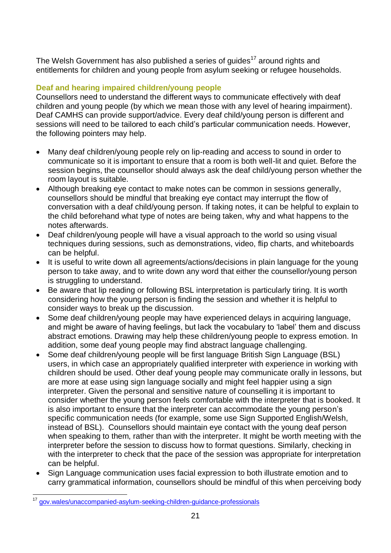The Welsh Government has also published a series of guides<sup>17</sup> around rights and entitlements for children and young people from asylum seeking or refugee households.

#### **Deaf and hearing impaired children/young people**

Counsellors need to understand the different ways to communicate effectively with deaf children and young people (by which we mean those with any level of hearing impairment). Deaf CAMHS can provide support/advice. Every deaf child/young person is different and sessions will need to be tailored to each child's particular communication needs. However, the following pointers may help.

- Many deaf children/young people rely on lip-reading and access to sound in order to communicate so it is important to ensure that a room is both well-lit and quiet. Before the session begins, the counsellor should always ask the deaf child/young person whether the room layout is suitable.
- Although breaking eye contact to make notes can be common in sessions generally, counsellors should be mindful that breaking eye contact may interrupt the flow of conversation with a deaf child/young person. If taking notes, it can be helpful to explain to the child beforehand what type of notes are being taken, why and what happens to the notes afterwards.
- Deaf children/young people will have a visual approach to the world so using visual techniques during sessions, such as demonstrations, video, flip charts, and whiteboards can be helpful.
- It is useful to write down all agreements/actions/decisions in plain language for the young person to take away, and to write down any word that either the counsellor/young person is struggling to understand.
- Be aware that lip reading or following BSL interpretation is particularly tiring. It is worth considering how the young person is finding the session and whether it is helpful to consider ways to break up the discussion.
- Some deaf children/young people may have experienced delays in acquiring language, and might be aware of having feelings, but lack the vocabulary to 'label' them and discuss abstract emotions. Drawing may help these children/young people to express emotion. In addition, some deaf young people may find abstract language challenging.
- Some deaf children/young people will be first language British Sign Language (BSL) users, in which case an appropriately qualified interpreter with experience in working with children should be used. Other deaf young people may communicate orally in lessons, but are more at ease using sign language socially and might feel happier using a sign interpreter. Given the personal and sensitive nature of counselling it is important to consider whether the young person feels comfortable with the interpreter that is booked. It is also important to ensure that the interpreter can accommodate the young person's specific communication needs (for example, some use Sign Supported English/Welsh, instead of BSL). Counsellors should maintain eye contact with the young deaf person when speaking to them, rather than with the interpreter. It might be worth meeting with the interpreter before the session to discuss how to format questions. Similarly, checking in with the interpreter to check that the pace of the session was appropriate for interpretation can be helpful.
- Sign Language communication uses facial expression to both illustrate emotion and to carry grammatical information, counsellors should be mindful of this when perceiving body

l <sup>17</sup> [gov.wales/unaccompanied-asylum-seeking-children-guidance-professionals](https://gov.wales/unaccompanied-asylum-seeking-children-guidance-professionals)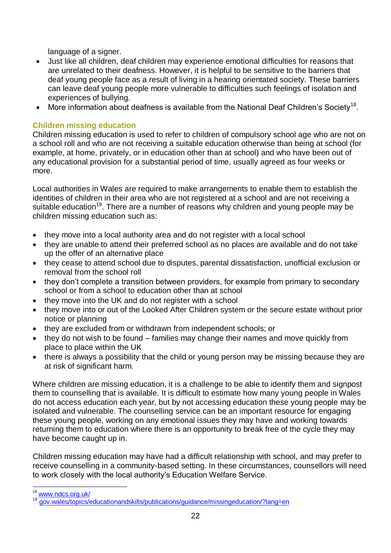language of a signer.

- Just like all children, deaf children may experience emotional difficulties for reasons that are unrelated to their deafness. However, it is helpful to be sensitive to the barriers that deaf young people face as a result of living in a hearing orientated society. These barriers can leave deaf young people more vulnerable to difficulties such feelings of isolation and experiences of bullying.
- More information about deafness is available from the National Deaf Children's Society<sup>18</sup>.

#### **Children missing education**

Children missing education is used to refer to children of compulsory school age who are not on a school roll and who are not receiving a suitable education otherwise than being at school (for example, at home, privately, or in education other than at school) and who have been out of any educational provision for a substantial period of time, usually agreed as four weeks or more.

Local authorities in Wales are required to make arrangements to enable them to establish the identities of children in their area who are not registered at a school and are not receiving a suitable education<sup>19</sup>. There are a number of reasons why children and young people may be children missing education such as:

- they move into a local authority area and do not register with a local school
- they are unable to attend their preferred school as no places are available and do not take up the offer of an alternative place
- they cease to attend school due to disputes, parental dissatisfaction, unofficial exclusion or removal from the school roll
- they don't complete a transition between providers, for example from primary to secondary school or from a school to education other than at school
- they move into the UK and do not register with a school
- they move into or out of the Looked After Children system or the secure estate without prior notice or planning
- they are excluded from or withdrawn from independent schools; or
- they do not wish to be found families may change their names and move quickly from place to place within the UK
- there is always a possibility that the child or young person may be missing because they are at risk of significant harm.

Where children are missing education, it is a challenge to be able to identify them and signpost them to counselling that is available. It is difficult to estimate how many young people in Wales do not access education each year, but by not accessing education these young people may be isolated and vulnerable. The counselling service can be an important resource for engaging these young people, working on any emotional issues they may have and working towards returning them to education where there is an opportunity to break free of the cycle they may have become caught up in.

Children missing education may have had a difficult relationship with school, and may prefer to receive counselling in a community-based setting. In these circumstances, counsellors will need to work closely with the local authority's Education Welfare Service.

 $\overline{a}$ <sup>18</sup> [www.ndcs.org.uk/](http://www.ndcs.org.uk/)

<sup>19</sup> [gov.wales/topics/educationandskills/publications/guidance/missingeducation/?lang=en](http://gov.wales/topics/educationandskills/publications/guidance/missingeducation/?lang=en)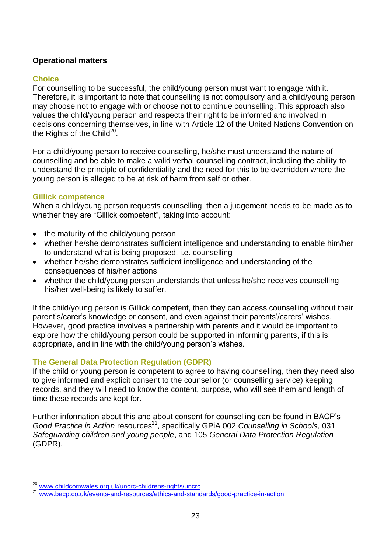#### **Operational matters**

#### **Choice**

For counselling to be successful, the child/young person must want to engage with it. Therefore, it is important to note that counselling is not compulsory and a child/young person may choose not to engage with or choose not to continue counselling. This approach also values the child/young person and respects their right to be informed and involved in decisions concerning themselves, in line with Article 12 of the United Nations Convention on the Rights of the Child $^{20}$ .

For a child/young person to receive counselling, he/she must understand the nature of counselling and be able to make a valid verbal counselling contract, including the ability to understand the principle of confidentiality and the need for this to be overridden where the young person is alleged to be at risk of harm from self or other.

#### **Gillick competence**

When a child/young person requests counselling, then a judgement needs to be made as to whether they are "Gillick competent", taking into account:

- the maturity of the child/young person
- whether he/she demonstrates sufficient intelligence and understanding to enable him/her to understand what is being proposed, i.e. counselling
- whether he/she demonstrates sufficient intelligence and understanding of the consequences of his/her actions
- whether the child/young person understands that unless he/she receives counselling his/her well-being is likely to suffer.

If the child/young person is Gillick competent, then they can access counselling without their parent's/carer's knowledge or consent, and even against their parents'/carers' wishes. However, good practice involves a partnership with parents and it would be important to explore how the child/young person could be supported in informing parents, if this is appropriate, and in line with the child/young person's wishes.

#### **The General Data Protection Regulation (GDPR)**

If the child or young person is competent to agree to having counselling, then they need also to give informed and explicit consent to the counsellor (or counselling service) keeping records, and they will need to know the content, purpose, who will see them and length of time these records are kept for.

Further information about this and about consent for counselling can be found in BACP's *Good Practice in Action* resources<sup>21</sup>, specifically GPIA 002 *Counselling in Schools*, 031 *Safeguarding children and young people*, and 105 *General Data Protection Regulation* (GDPR).

 $\overline{a}$ <sup>20</sup> [www.childcomwales.org.uk/uncrc-childrens-rights/uncrc](http://www.childcomwales.org.uk/uncrc-childrens-rights/uncrc/)

<sup>&</sup>lt;sup>21</sup> [www.bacp.co.uk/events-and-resources/ethics-and-standards/good-practice-in-action](http://www.bacp.co.uk/events-and-resources/ethics-and-standards/good-practice-in-action/)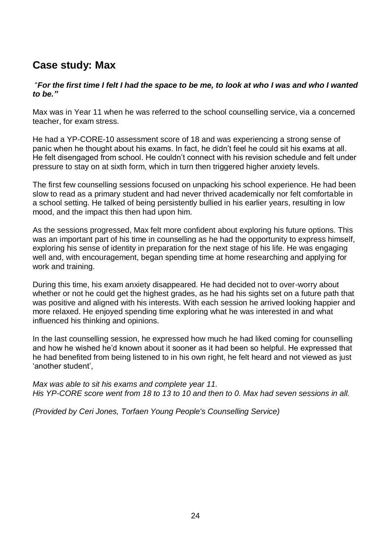# **Case study: Max**

#### "*For the first time I felt I had the space to be me, to look at who I was and who I wanted to be."*

Max was in Year 11 when he was referred to the school counselling service, via a concerned teacher, for exam stress.

He had a YP-CORE-10 assessment score of 18 and was experiencing a strong sense of panic when he thought about his exams. In fact, he didn't feel he could sit his exams at all. He felt disengaged from school. He couldn't connect with his revision schedule and felt under pressure to stay on at sixth form, which in turn then triggered higher anxiety levels.

The first few counselling sessions focused on unpacking his school experience. He had been slow to read as a primary student and had never thrived academically nor felt comfortable in a school setting. He talked of being persistently bullied in his earlier years, resulting in low mood, and the impact this then had upon him.

As the sessions progressed, Max felt more confident about exploring his future options. This was an important part of his time in counselling as he had the opportunity to express himself, exploring his sense of identity in preparation for the next stage of his life. He was engaging well and, with encouragement, began spending time at home researching and applying for work and training.

During this time, his exam anxiety disappeared. He had decided not to over-worry about whether or not he could get the highest grades, as he had his sights set on a future path that was positive and aligned with his interests. With each session he arrived looking happier and more relaxed. He enjoyed spending time exploring what he was interested in and what influenced his thinking and opinions.

In the last counselling session, he expressed how much he had liked coming for counselling and how he wished he'd known about it sooner as it had been so helpful. He expressed that he had benefited from being listened to in his own right, he felt heard and not viewed as just 'another student',

*Max was able to sit his exams and complete year 11. His YP-CORE score went from 18 to 13 to 10 and then to 0. Max had seven sessions in all.*

*(Provided by Ceri Jones, Torfaen Young People's Counselling Service)*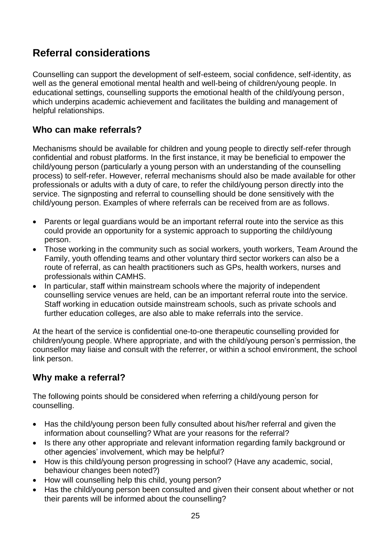# **Referral considerations**

Counselling can support the development of self-esteem, social confidence, self-identity, as well as the general emotional mental health and well-being of children/young people. In educational settings, counselling supports the emotional health of the child/young person, which underpins academic achievement and facilitates the building and management of helpful relationships.

### **Who can make referrals?**

Mechanisms should be available for children and young people to directly self-refer through confidential and robust platforms. In the first instance, it may be beneficial to empower the child/young person (particularly a young person with an understanding of the counselling process) to self-refer. However, referral mechanisms should also be made available for other professionals or adults with a duty of care, to refer the child/young person directly into the service. The signposting and referral to counselling should be done sensitively with the child/young person. Examples of where referrals can be received from are as follows.

- Parents or legal guardians would be an important referral route into the service as this could provide an opportunity for a systemic approach to supporting the child/young person.
- Those working in the community such as social workers, youth workers, Team Around the Family, youth offending teams and other voluntary third sector workers can also be a route of referral, as can health practitioners such as GPs, health workers, nurses and professionals within CAMHS.
- In particular, staff within mainstream schools where the majority of independent counselling service venues are held, can be an important referral route into the service. Staff working in education outside mainstream schools, such as private schools and further education colleges, are also able to make referrals into the service.

At the heart of the service is confidential one-to-one therapeutic counselling provided for children/young people. Where appropriate, and with the child/young person's permission, the counsellor may liaise and consult with the referrer, or within a school environment, the school link person.

### **Why make a referral?**

The following points should be considered when referring a child/young person for counselling.

- Has the child/young person been fully consulted about his/her referral and given the information about counselling? What are your reasons for the referral?
- Is there any other appropriate and relevant information regarding family background or other agencies' involvement, which may be helpful?
- How is this child/young person progressing in school? (Have any academic, social, behaviour changes been noted?)
- How will counselling help this child, young person?
- Has the child/young person been consulted and given their consent about whether or not their parents will be informed about the counselling?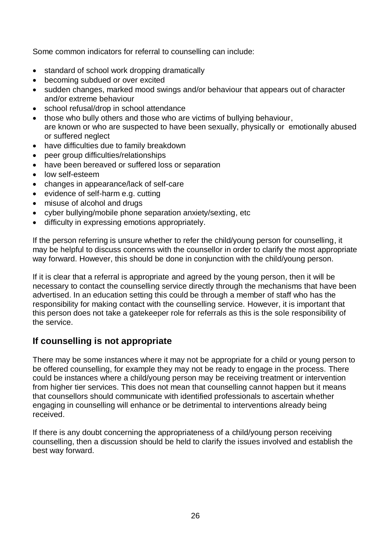Some common indicators for referral to counselling can include:

- standard of school work dropping dramatically
- becoming subdued or over excited
- sudden changes, marked mood swings and/or behaviour that appears out of character and/or extreme behaviour
- school refusal/drop in school attendance
- those who bully others and those who are victims of bullying behaviour, are known or who are suspected to have been sexually, physically or emotionally abused or suffered neglect
- have difficulties due to family breakdown
- peer group difficulties/relationships
- have been bereaved or suffered loss or separation
- low self-esteem
- changes in appearance/lack of self-care
- evidence of self-harm e.g. cutting
- misuse of alcohol and drugs
- cyber bullying/mobile phone separation anxiety/sexting, etc
- difficulty in expressing emotions appropriately.

If the person referring is unsure whether to refer the child/young person for counselling, it may be helpful to discuss concerns with the counsellor in order to clarify the most appropriate way forward. However, this should be done in conjunction with the child/young person.

If it is clear that a referral is appropriate and agreed by the young person, then it will be necessary to contact the counselling service directly through the mechanisms that have been advertised. In an education setting this could be through a member of staff who has the responsibility for making contact with the counselling service. However, it is important that this person does not take a gatekeeper role for referrals as this is the sole responsibility of the service.

#### **If counselling is not appropriate**

There may be some instances where it may not be appropriate for a child or young person to be offered counselling, for example they may not be ready to engage in the process. There could be instances where a child/young person may be receiving treatment or intervention from higher tier services. This does not mean that counselling cannot happen but it means that counsellors should communicate with identified professionals to ascertain whether engaging in counselling will enhance or be detrimental to interventions already being received.

If there is any doubt concerning the appropriateness of a child/young person receiving counselling, then a discussion should be held to clarify the issues involved and establish the best way forward.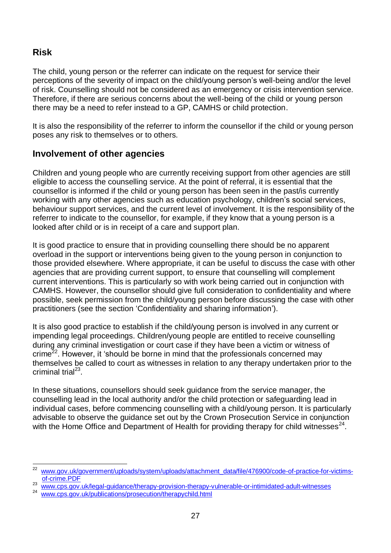### **Risk**

The child, young person or the referrer can indicate on the request for service their perceptions of the severity of impact on the child/young person's well-being and/or the level of risk. Counselling should not be considered as an emergency or crisis intervention service. Therefore, if there are serious concerns about the well-being of the child or young person there may be a need to refer instead to a GP, CAMHS or child protection.

It is also the responsibility of the referrer to inform the counsellor if the child or young person poses any risk to themselves or to others.

#### **Involvement of other agencies**

Children and young people who are currently receiving support from other agencies are still eligible to access the counselling service. At the point of referral, it is essential that the counsellor is informed if the child or young person has been seen in the past/is currently working with any other agencies such as education psychology, children's social services, behaviour support services, and the current level of involvement. It is the responsibility of the referrer to indicate to the counsellor, for example, if they know that a young person is a looked after child or is in receipt of a care and support plan.

It is good practice to ensure that in providing counselling there should be no apparent overload in the support or interventions being given to the young person in conjunction to those provided elsewhere. Where appropriate, it can be useful to discuss the case with other agencies that are providing current support, to ensure that counselling will complement current interventions. This is particularly so with work being carried out in conjunction with CAMHS. However, the counsellor should give full consideration to confidentiality and where possible, seek permission from the child/young person before discussing the case with other practitioners (see the section 'Confidentiality and sharing information').

It is also good practice to establish if the child/young person is involved in any current or impending legal proceedings. Children/young people are entitled to receive counselling during any criminal investigation or court case if they have been a victim or witness of crime<sup>22</sup>. However, it 'should be borne in mind that the professionals concerned may themselves be called to court as witnesses in relation to any therapy undertaken prior to the criminal trial<sup>23</sup>.

In these situations, counsellors should seek guidance from the service manager, the counselling lead in the local authority and/or the child protection or safeguarding lead in individual cases, before commencing counselling with a child/young person. It is particularly advisable to observe the guidance set out by the Crown Prosecution Service in conjunction with the Home Office and Department of Health for providing therapy for child witnesses<sup>24</sup>.

 $\frac{1}{22}$ [www.gov.uk/government/uploads/system/uploads/attachment\\_data/file/476900/code-of-practice-for-victims](http://www.gov.uk/government/uploads/system/uploads/attachment_data/file/476900/code-of-practice-for-victims-of-crime.PDF)[of-crime.PDF](http://www.gov.uk/government/uploads/system/uploads/attachment_data/file/476900/code-of-practice-for-victims-of-crime.PDF)

<sup>23</sup> [www.cps.gov.uk/legal-guidance/therapy-provision-therapy-vulnerable-or-intimidated-adult-witnesses](http://www.cps.gov.uk/legal-guidance/therapy-provision-therapy-vulnerable-or-intimidated-adult-witnesses)

<sup>24</sup> [www.cps.gov.uk/publications/prosecution/therapychild.html](http://www.cps.gov.uk/publications/prosecution/therapychild.html)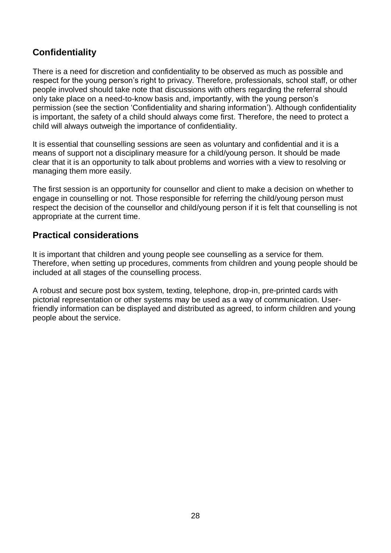### **Confidentiality**

There is a need for discretion and confidentiality to be observed as much as possible and respect for the young person's right to privacy. Therefore, professionals, school staff, or other people involved should take note that discussions with others regarding the referral should only take place on a need-to-know basis and, importantly, with the young person's permission (see the section 'Confidentiality and sharing information'). Although confidentiality is important, the safety of a child should always come first. Therefore, the need to protect a child will always outweigh the importance of confidentiality.

It is essential that counselling sessions are seen as voluntary and confidential and it is a means of support not a disciplinary measure for a child/young person. It should be made clear that it is an opportunity to talk about problems and worries with a view to resolving or managing them more easily.

The first session is an opportunity for counsellor and client to make a decision on whether to engage in counselling or not. Those responsible for referring the child/young person must respect the decision of the counsellor and child/young person if it is felt that counselling is not appropriate at the current time.

### **Practical considerations**

It is important that children and young people see counselling as a service for them. Therefore, when setting up procedures, comments from children and young people should be included at all stages of the counselling process.

A robust and secure post box system, texting, telephone, drop-in, pre-printed cards with pictorial representation or other systems may be used as a way of communication. Userfriendly information can be displayed and distributed as agreed, to inform children and young people about the service.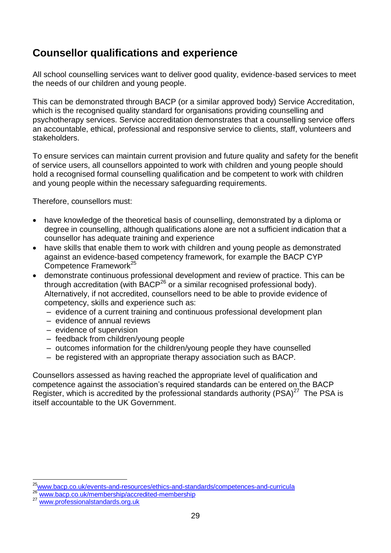# **Counsellor qualifications and experience**

All school counselling services want to deliver good quality, evidence-based services to meet the needs of our children and young people.

This can be demonstrated through BACP (or a similar approved body) Service Accreditation, which is the recognised quality standard for organisations providing counselling and psychotherapy services. Service accreditation demonstrates that a counselling service offers an accountable, ethical, professional and responsive service to clients, staff, volunteers and stakeholders.

To ensure services can maintain current provision and future quality and safety for the benefit of service users, all counsellors appointed to work with children and young people should hold a recognised formal counselling qualification and be competent to work with children and young people within the necessary safeguarding requirements.

Therefore, counsellors must:

- have knowledge of the theoretical basis of counselling, demonstrated by a diploma or degree in counselling, although qualifications alone are not a sufficient indication that a counsellor has adequate training and experience
- have skills that enable them to work with children and young people as demonstrated against an evidence-based competency framework, for example the BACP CYP Competence Framework<sup>25</sup>
- demonstrate continuous professional development and review of practice. This can be through accreditation (with BACP<sup>26</sup> or a similar recognised professional body). Alternatively, if not accredited, counsellors need to be able to provide evidence of competency, skills and experience such as:
	- evidence of a current training and continuous professional development plan
	- evidence of annual reviews
	- evidence of supervision
	- feedback from children/young people
	- outcomes information for the children/young people they have counselled
	- be registered with an appropriate therapy association such as BACP.

Counsellors assessed as having reached the appropriate level of qualification and competence against the association's required standards can be entered on the BACP Register, which is accredited by the professional standards authority  $(PSA)^{27}$  The PSA is itself accountable to the UK Government.

 $\overline{a}$ 

<sup>&</sup>lt;sup>25</sup>[www.bacp.co.uk/events-and-resources/ethics-and-standards/competences-and-curricula](http://www.bacp.co.uk/events-and-resources/ethics-and-standards/competences-and-curricula/)

[www.bacp.co.uk/membership/accredited-membership](http://www.bacp.co.uk/membership/accredited-membership/)

<sup>27</sup> [www.professionalstandards.org.uk](http://www.professionalstandards.org.uk/)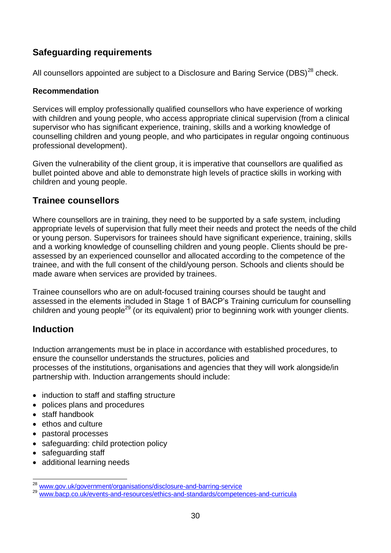# **Safeguarding requirements**

All counsellors appointed are subject to a Disclosure and Baring Service (DBS) $^{28}$  check.

#### **Recommendation**

Services will employ professionally qualified counsellors who have experience of working with children and young people, who access appropriate clinical supervision (from a clinical supervisor who has significant experience, training, skills and a working knowledge of counselling children and young people, and who participates in regular ongoing continuous professional development).

Given the vulnerability of the client group, it is imperative that counsellors are qualified as bullet pointed above and able to demonstrate high levels of practice skills in working with children and young people.

### **Trainee counsellors**

Where counsellors are in training, they need to be supported by a safe system, including appropriate levels of supervision that fully meet their needs and protect the needs of the child or young person. Supervisors for trainees should have significant experience, training, skills and a working knowledge of counselling children and young people. Clients should be preassessed by an experienced counsellor and allocated according to the competence of the trainee, and with the full consent of the child/young person. Schools and clients should be made aware when services are provided by trainees.

Trainee counsellors who are on adult-focused training courses should be taught and assessed in the elements included in Stage 1 of BACP's Training curriculum for counselling children and young people<sup>29</sup> (or its equivalent) prior to beginning work with younger clients.

# **Induction**

Induction arrangements must be in place in accordance with established procedures, to ensure the counsellor understands the structures, policies and processes of the institutions, organisations and agencies that they will work alongside/in partnership with. Induction arrangements should include:

- induction to staff and staffing structure
- polices plans and procedures
- staff handbook
- $\bullet$  ethos and culture
- pastoral processes
- safeguarding: child protection policy
- safeguarding staff
- additional learning needs

 $\overline{a}$ <sup>28</sup> [www.gov.uk/government/organisations/disclosure-and-barring-service](http://www.gov.uk/government/organisations/disclosure-and-barring-service)

<sup>&</sup>lt;sup>29</sup> www.bacp.co.uk/events-and-resources/ethics-and-standards/competences-and-curricula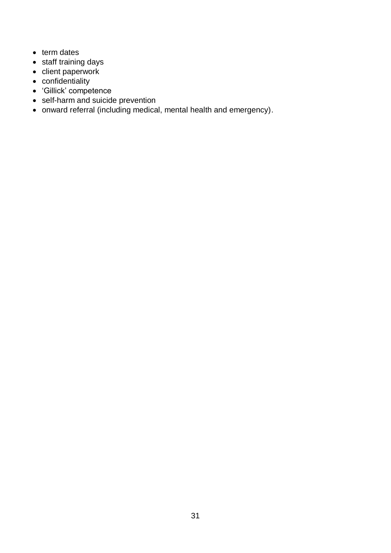- term dates
- staff training days
- client paperwork
- confidentiality
- 'Gillick' competence
- self-harm and suicide prevention
- onward referral (including medical, mental health and emergency).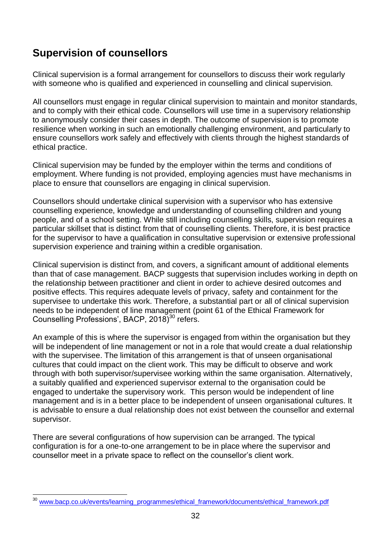# **Supervision of counsellors**

Clinical supervision is a formal arrangement for counsellors to discuss their work regularly with someone who is qualified and experienced in counselling and clinical supervision.

All counsellors must engage in regular clinical supervision to maintain and monitor standards, and to comply with their ethical code. Counsellors will use time in a supervisory relationship to anonymously consider their cases in depth. The outcome of supervision is to promote resilience when working in such an emotionally challenging environment, and particularly to ensure counsellors work safely and effectively with clients through the highest standards of ethical practice.

Clinical supervision may be funded by the employer within the terms and conditions of employment. Where funding is not provided, employing agencies must have mechanisms in place to ensure that counsellors are engaging in clinical supervision.

Counsellors should undertake clinical supervision with a supervisor who has extensive counselling experience, knowledge and understanding of counselling children and young people, and of a school setting. While still including counselling skills, supervision requires a particular skillset that is distinct from that of counselling clients. Therefore, it is best practice for the supervisor to have a qualification in consultative supervision or extensive professional supervision experience and training within a credible organisation.

Clinical supervision is distinct from, and covers, a significant amount of additional elements than that of case management. BACP suggests that supervision includes working in depth on the relationship between practitioner and client in order to achieve desired outcomes and positive effects. This requires adequate levels of privacy, safety and containment for the supervisee to undertake this work. Therefore, a substantial part or all of clinical supervision needs to be independent of line management (point 61 of the Ethical Framework for Counselling Professions', BACP, 2018)<sup>30</sup> refers.

An example of this is where the supervisor is engaged from within the organisation but they will be independent of line management or not in a role that would create a dual relationship with the supervisee. The limitation of this arrangement is that of unseen organisational cultures that could impact on the client work. This may be difficult to observe and work through with both supervisor/supervisee working within the same organisation. Alternatively, a suitably qualified and experienced supervisor external to the organisation could be engaged to undertake the supervisory work. This person would be independent of line management and is in a better place to be independent of unseen organisational cultures. It is advisable to ensure a dual relationship does not exist between the counsellor and external supervisor.

There are several configurations of how supervision can be arranged. The typical configuration is for a one-to-one arrangement to be in place where the supervisor and counsellor meet in a private space to reflect on the counsellor's client work.

l [www.bacp.co.uk/events/learning\\_programmes/ethical\\_framework/documents/ethical\\_framework.pdf](http://www.bacp.co.uk/events/learning_programmes/ethical_framework/documents/ethical_framework.pdf)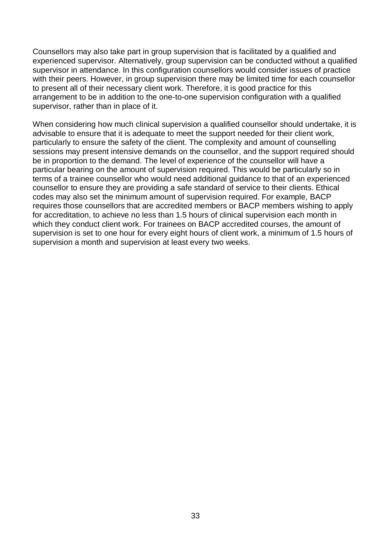Counsellors may also take part in group supervision that is facilitated by a qualified and experienced supervisor. Alternatively, group supervision can be conducted without a qualified supervisor in attendance. In this configuration counsellors would consider issues of practice with their peers. However, in group supervision there may be limited time for each counsellor to present all of their necessary client work. Therefore, it is good practice for this arrangement to be in addition to the one-to-one supervision configuration with a qualified supervisor, rather than in place of it.

When considering how much clinical supervision a qualified counsellor should undertake, it is advisable to ensure that it is adequate to meet the support needed for their client work, particularly to ensure the safety of the client. The complexity and amount of counselling sessions may present intensive demands on the counsellor, and the support required should be in proportion to the demand. The level of experience of the counsellor will have a particular bearing on the amount of supervision required. This would be particularly so in terms of a trainee counsellor who would need additional guidance to that of an experienced counsellor to ensure they are providing a safe standard of service to their clients. Ethical codes may also set the minimum amount of supervision required. For example, BACP requires those counsellors that are accredited members or BACP members wishing to apply for accreditation, to achieve no less than 1.5 hours of clinical supervision each month in which they conduct client work. For trainees on BACP accredited courses, the amount of supervision is set to one hour for every eight hours of client work, a minimum of 1.5 hours of supervision a month and supervision at least every two weeks.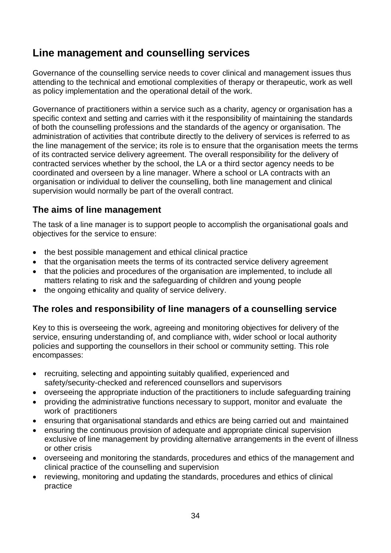# **Line management and counselling services**

Governance of the counselling service needs to cover clinical and management issues thus attending to the technical and emotional complexities of therapy or therapeutic, work as well as policy implementation and the operational detail of the work.

Governance of practitioners within a service such as a charity, agency or organisation has a specific context and setting and carries with it the responsibility of maintaining the standards of both the counselling professions and the standards of the agency or organisation. The administration of activities that contribute directly to the delivery of services is referred to as the line management of the service; its role is to ensure that the organisation meets the terms of its contracted service delivery agreement. The overall responsibility for the delivery of contracted services whether by the school, the LA or a third sector agency needs to be coordinated and overseen by a line manager. Where a school or LA contracts with an organisation or individual to deliver the counselling, both line management and clinical supervision would normally be part of the overall contract.

### **The aims of line management**

The task of a line manager is to support people to accomplish the organisational goals and objectives for the service to ensure:

- the best possible management and ethical clinical practice
- that the organisation meets the terms of its contracted service delivery agreement
- that the policies and procedures of the organisation are implemented, to include all matters relating to risk and the safeguarding of children and young people
- the ongoing ethicality and quality of service delivery.

# **The roles and responsibility of line managers of a counselling service**

Key to this is overseeing the work, agreeing and monitoring objectives for delivery of the service, ensuring understanding of, and compliance with, wider school or local authority policies and supporting the counsellors in their school or community setting. This role encompasses:

- recruiting, selecting and appointing suitably qualified, experienced and safety/security-checked and referenced counsellors and supervisors
- overseeing the appropriate induction of the practitioners to include safeguarding training
- providing the administrative functions necessary to support, monitor and evaluate the work of practitioners
- ensuring that organisational standards and ethics are being carried out and maintained
- ensuring the continuous provision of adequate and appropriate clinical supervision exclusive of line management by providing alternative arrangements in the event of illness or other crisis
- overseeing and monitoring the standards, procedures and ethics of the management and clinical practice of the counselling and supervision
- reviewing, monitoring and updating the standards, procedures and ethics of clinical practice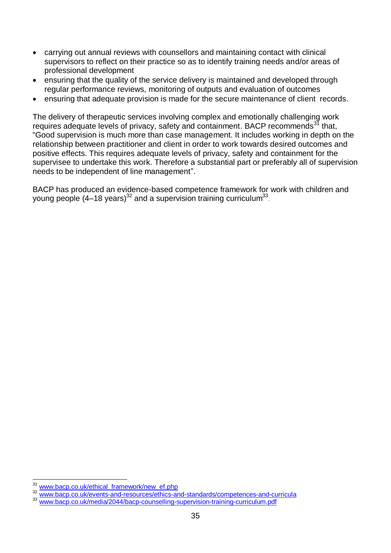- carrying out annual reviews with counsellors and maintaining contact with clinical supervisors to reflect on their practice so as to identify training needs and/or areas of professional development
- ensuring that the quality of the service delivery is maintained and developed through regular performance reviews, monitoring of outputs and evaluation of outcomes
- ensuring that adequate provision is made for the secure maintenance of client records.

The delivery of therapeutic services involving complex and emotionally challenging work requires adequate levels of privacy, safety and containment. BACP recommends<sup>31</sup> that, "Good supervision is much more than case management. It includes working in depth on the relationship between practitioner and client in order to work towards desired outcomes and positive effects. This requires adequate levels of privacy, safety and containment for the supervisee to undertake this work. Therefore a substantial part or preferably all of supervision needs to be independent of line management".

BACP has produced an evidence-based competence framework for work with children and young people (4–18 years)<sup>32</sup> and a supervision training curriculum<sup>33</sup>.

 $\overline{a}$ [www.bacp.co.uk/ethical\\_framework/new\\_ef.php](http://www.bacp.co.uk/ethical_framework/new_ef.php)

[www.bacp.co.uk/events-and-resources/ethics-and-standards/competences-and-curricula](http://www.bacp.co.uk/events-and-resources/ethics-and-standards/competences-and-curricula/)

[www.bacp.co.uk/media/2044/bacp-counselling-supervision-training-curriculum.pdf](http://www.bacp.co.uk/media/2044/bacp-counselling-supervision-training-curriculum.pdf)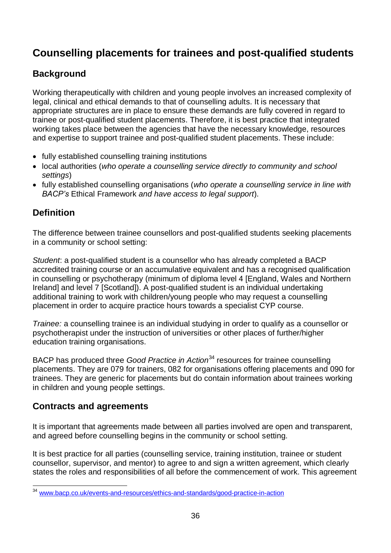# **Counselling placements for trainees and post-qualified students**

# **Background**

Working therapeutically with children and young people involves an increased complexity of legal, clinical and ethical demands to that of counselling adults. It is necessary that appropriate structures are in place to ensure these demands are fully covered in regard to trainee or post-qualified student placements. Therefore, it is best practice that integrated working takes place between the agencies that have the necessary knowledge, resources and expertise to support trainee and post-qualified student placements. These include:

- fully established counselling training institutions
- local authorities (*who operate a counselling service directly to community and school settings*)
- fully established counselling organisations (*who operate a counselling service in line with BACP's* Ethical Framework *and have access to legal support*).

# **Definition**

The difference between trainee counsellors and post-qualified students seeking placements in a community or school setting:

*Student*: a post-qualified student is a counsellor who has already completed a BACP accredited training course or an accumulative equivalent and has a recognised qualification in counselling or psychotherapy (minimum of diploma level 4 [England, Wales and Northern Ireland] and level 7 [Scotland]). A post-qualified student is an individual undertaking additional training to work with children/young people who may request a counselling placement in order to acquire practice hours towards a specialist CYP course.

*Trainee:* a counselling trainee is an individual studying in order to qualify as a counsellor or psychotherapist under the instruction of universities or other places of further/higher education training organisations.

BACP has produced three *Good Practice in Action*<sup>34</sup> resources for trainee counselling placements. They are 079 for trainers, 082 for organisations offering placements and 090 for trainees. They are generic for placements but do contain information about trainees working in children and young people settings.

# **Contracts and agreements**

It is important that agreements made between all parties involved are open and transparent, and agreed before counselling begins in the community or school setting.

It is best practice for all parties (counselling service, training institution, trainee or student counsellor, supervisor, and mentor) to agree to and sign a written agreement, which clearly states the roles and responsibilities of all before the commencement of work. This agreement

l <sup>34</sup> [www.bacp.co.uk/events-and-resources/ethics-and-standards/good-practice-in-action](http://www.bacp.co.uk/events-and-resources/ethics-and-standards/good-practice-in-action/)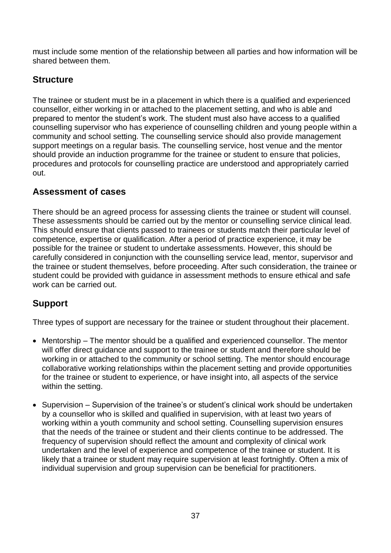must include some mention of the relationship between all parties and how information will be shared between them.

### **Structure**

The trainee or student must be in a placement in which there is a qualified and experienced counsellor, either working in or attached to the placement setting, and who is able and prepared to mentor the student's work. The student must also have access to a qualified counselling supervisor who has experience of counselling children and young people within a community and school setting. The counselling service should also provide management support meetings on a regular basis. The counselling service, host venue and the mentor should provide an induction programme for the trainee or student to ensure that policies, procedures and protocols for counselling practice are understood and appropriately carried out.

### **Assessment of cases**

There should be an agreed process for assessing clients the trainee or student will counsel. These assessments should be carried out by the mentor or counselling service clinical lead. This should ensure that clients passed to trainees or students match their particular level of competence, expertise or qualification. After a period of practice experience, it may be possible for the trainee or student to undertake assessments. However, this should be carefully considered in conjunction with the counselling service lead, mentor, supervisor and the trainee or student themselves, before proceeding. After such consideration, the trainee or student could be provided with guidance in assessment methods to ensure ethical and safe work can be carried out.

### **Support**

Three types of support are necessary for the trainee or student throughout their placement.

- Mentorship The mentor should be a qualified and experienced counsellor. The mentor will offer direct guidance and support to the trainee or student and therefore should be working in or attached to the community or school setting. The mentor should encourage collaborative working relationships within the placement setting and provide opportunities for the trainee or student to experience, or have insight into, all aspects of the service within the setting.
- Supervision Supervision of the trainee's or student's clinical work should be undertaken by a counsellor who is skilled and qualified in supervision, with at least two years of working within a youth community and school setting. Counselling supervision ensures that the needs of the trainee or student and their clients continue to be addressed. The frequency of supervision should reflect the amount and complexity of clinical work undertaken and the level of experience and competence of the trainee or student. It is likely that a trainee or student may require supervision at least fortnightly. Often a mix of individual supervision and group supervision can be beneficial for practitioners.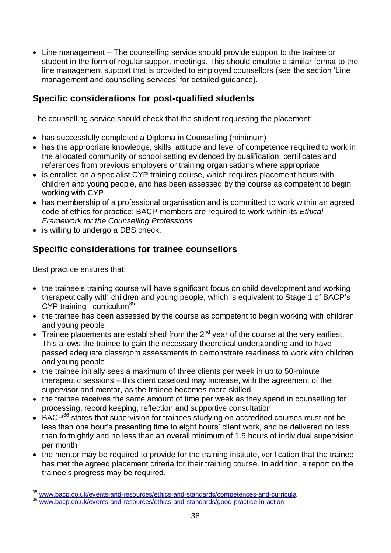• Line management – The counselling service should provide support to the trainee or student in the form of regular support meetings. This should emulate a similar format to the line management support that is provided to employed counsellors (see the section 'Line management and counselling services' for detailed guidance).

### **Specific considerations for post-qualified students**

The counselling service should check that the student requesting the placement:

- has successfully completed a Diploma in Counselling (minimum)
- has the appropriate knowledge, skills, attitude and level of competence required to work in the allocated community or school setting evidenced by qualification, certificates and references from previous employers or training organisations where appropriate
- is enrolled on a specialist CYP training course, which requires placement hours with children and young people, and has been assessed by the course as competent to begin working with CYP
- has membership of a professional organisation and is committed to work within an agreed code of ethics for practice; BACP members are required to work within its *Ethical Framework for the Counselling Professions*
- is willing to undergo a DBS check.

### **Specific considerations for trainee counsellors**

Best practice ensures that:

- the trainee's training course will have significant focus on child development and working therapeutically with children and young people, which is equivalent to Stage 1 of BACP's CYP training curriculum<sup>35</sup>
- the trainee has been assessed by the course as competent to begin working with children and young people
- $\bullet$  Trainee placements are established from the 2<sup>nd</sup> year of the course at the very earliest. This allows the trainee to gain the necessary theoretical understanding and to have passed adequate classroom assessments to demonstrate readiness to work with children and young people
- the trainee initially sees a maximum of three clients per week in up to 50-minute therapeutic sessions – this client caseload may increase, with the agreement of the supervisor and mentor, as the trainee becomes more skilled
- the trainee receives the same amount of time per week as they spend in counselling for processing, record keeping, reflection and supportive consultation
- BACP<sup>36</sup> states that supervision for trainees studying on accredited courses must not be less than one hour's presenting time to eight hours' client work, and be delivered no less than fortnightly and no less than an overall minimum of 1.5 hours of individual supervision per month
- the mentor may be required to provide for the training institute, verification that the trainee has met the agreed placement criteria for their training course. In addition, a report on the trainee's progress may be required.

 $\overline{a}$ [www.bacp.co.uk/events-and-resources/ethics-and-standards/competences-and-curricula](http://www.bacp.co.uk/events-and-resources/ethics-and-standards/competences-and-curricula/)

[www.bacp.co.uk/events-and-resources/ethics-and-standards/good-practice-in-action](http://www.bacp.co.uk/events-and-resources/ethics-and-standards/good-practice-in-action/)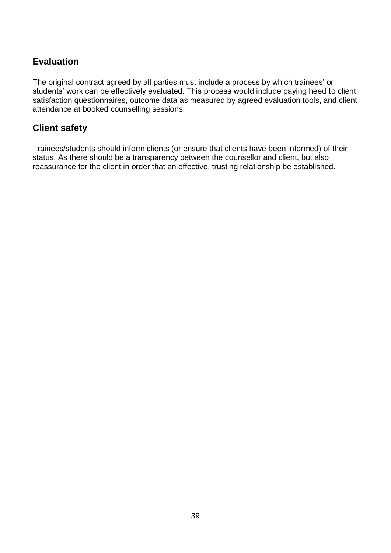### **Evaluation**

The original contract agreed by all parties must include a process by which trainees' or students' work can be effectively evaluated. This process would include paying heed to client satisfaction questionnaires, outcome data as measured by agreed evaluation tools, and client attendance at booked counselling sessions.

### **Client safety**

Trainees/students should inform clients (or ensure that clients have been informed) of their status. As there should be a transparency between the counsellor and client, but also reassurance for the client in order that an effective, trusting relationship be established.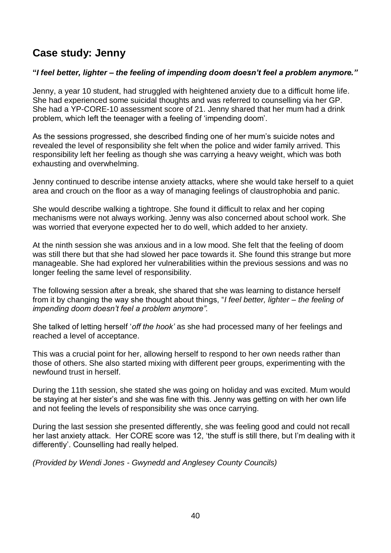# **Case study: Jenny**

#### **"***I feel better, lighter – the feeling of impending doom doesn't feel a problem anymore."*

Jenny, a year 10 student, had struggled with heightened anxiety due to a difficult home life. She had experienced some suicidal thoughts and was referred to counselling via her GP. She had a YP-CORE-10 assessment score of 21. Jenny shared that her mum had a drink problem, which left the teenager with a feeling of 'impending doom'.

As the sessions progressed, she described finding one of her mum's suicide notes and revealed the level of responsibility she felt when the police and wider family arrived. This responsibility left her feeling as though she was carrying a heavy weight, which was both exhausting and overwhelming.

Jenny continued to describe intense anxiety attacks, where she would take herself to a quiet area and crouch on the floor as a way of managing feelings of claustrophobia and panic.

She would describe walking a tightrope. She found it difficult to relax and her coping mechanisms were not always working. Jenny was also concerned about school work. She was worried that everyone expected her to do well, which added to her anxiety.

At the ninth session she was anxious and in a low mood. She felt that the feeling of doom was still there but that she had slowed her pace towards it. She found this strange but more manageable. She had explored her vulnerabilities within the previous sessions and was no longer feeling the same level of responsibility.

The following session after a break, she shared that she was learning to distance herself from it by changing the way she thought about things, "*I feel better, lighter – the feeling of impending doom doesn't feel a problem anymore".*

She talked of letting herself '*off the hook'* as she had processed many of her feelings and reached a level of acceptance.

This was a crucial point for her, allowing herself to respond to her own needs rather than those of others. She also started mixing with different peer groups, experimenting with the newfound trust in herself.

During the 11th session, she stated she was going on holiday and was excited. Mum would be staying at her sister's and she was fine with this. Jenny was getting on with her own life and not feeling the levels of responsibility she was once carrying.

During the last session she presented differently, she was feeling good and could not recall her last anxiety attack. Her CORE score was 12, 'the stuff is still there, but I'm dealing with it differently'. Counselling had really helped.

*(Provided by Wendi Jones - Gwynedd and Anglesey County Councils)*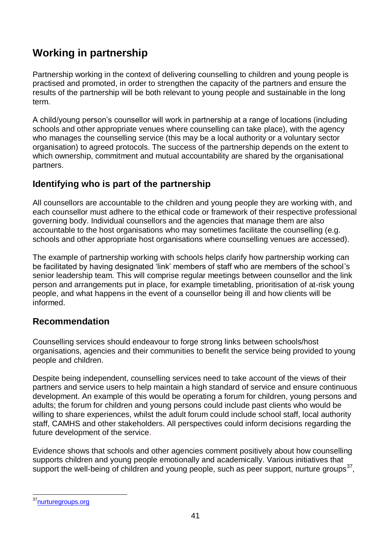# **Working in partnership**

Partnership working in the context of delivering counselling to children and young people is practised and promoted, in order to strengthen the capacity of the partners and ensure the results of the partnership will be both relevant to young people and sustainable in the long term.

A child/young person's counsellor will work in partnership at a range of locations (including schools and other appropriate venues where counselling can take place), with the agency who manages the counselling service (this may be a local authority or a voluntary sector organisation) to agreed protocols. The success of the partnership depends on the extent to which ownership, commitment and mutual accountability are shared by the organisational partners.

### **Identifying who is part of the partnership**

All counsellors are accountable to the children and young people they are working with, and each counsellor must adhere to the ethical code or framework of their respective professional governing body. Individual counsellors and the agencies that manage them are also accountable to the host organisations who may sometimes facilitate the counselling (e.g. schools and other appropriate host organisations where counselling venues are accessed).

The example of partnership working with schools helps clarify how partnership working can be facilitated by having designated 'link' members of staff who are members of the school's senior leadership team. This will comprise regular meetings between counsellor and the link person and arrangements put in place, for example timetabling, prioritisation of at-risk young people, and what happens in the event of a counsellor being ill and how clients will be informed.

### **Recommendation**

Counselling services should endeavour to forge strong links between schools/host organisations, agencies and their communities to benefit the service being provided to young people and children.

Despite being independent, counselling services need to take account of the views of their partners and service users to help maintain a high standard of service and ensure continuous development. An example of this would be operating a forum for children, young persons and adults; the forum for children and young persons could include past clients who would be willing to share experiences, whilst the adult forum could include school staff, local authority staff, CAMHS and other stakeholders. All perspectives could inform decisions regarding the future development of the service.

Evidence shows that schools and other agencies comment positively about how counselling supports children and young people emotionally and academically. Various initiatives that support the well-being of children and young people, such as peer support, nurture groups $37$ ,

l <sup>37</sup>[nurturegroups.org](https://nurturegroups.org/)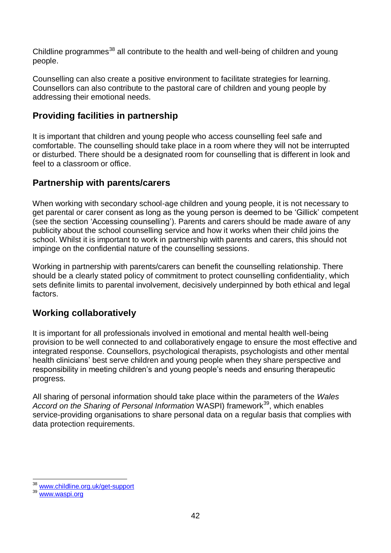Childline programmes<sup>38</sup> all contribute to the health and well-being of children and young people.

Counselling can also create a positive environment to facilitate strategies for learning. Counsellors can also contribute to the pastoral care of children and young people by addressing their emotional needs.

### **Providing facilities in partnership**

It is important that children and young people who access counselling feel safe and comfortable. The counselling should take place in a room where they will not be interrupted or disturbed. There should be a designated room for counselling that is different in look and feel to a classroom or office.

### **Partnership with parents/carers**

When working with secondary school-age children and young people, it is not necessary to get parental or carer consent as long as the young person is deemed to be 'Gillick' competent (see the section 'Accessing counselling'). Parents and carers should be made aware of any publicity about the school counselling service and how it works when their child joins the school. Whilst it is important to work in partnership with parents and carers, this should not impinge on the confidential nature of the counselling sessions.

Working in partnership with parents/carers can benefit the counselling relationship. There should be a clearly stated policy of commitment to protect counselling confidentiality, which sets definite limits to parental involvement, decisively underpinned by both ethical and legal factors.

### **Working collaboratively**

It is important for all professionals involved in emotional and mental health well-being provision to be well connected to and collaboratively engage to ensure the most effective and integrated response. Counsellors, psychological therapists, psychologists and other mental health clinicians' best serve children and young people when they share perspective and responsibility in meeting children's and young people's needs and ensuring therapeutic progress.

All sharing of personal information should take place within the parameters of the *Wales*  Accord on the Sharing of Personal Information WASPI) framework<sup>39</sup>, which enables service-providing organisations to share personal data on a regular basis that complies with data protection requirements.

 $\overline{a}$ [www.childline.org.uk/get-support](http://www.childline.org.uk/get-support/)

<sup>39</sup> [www.waspi.org](http://www.waspi.org/)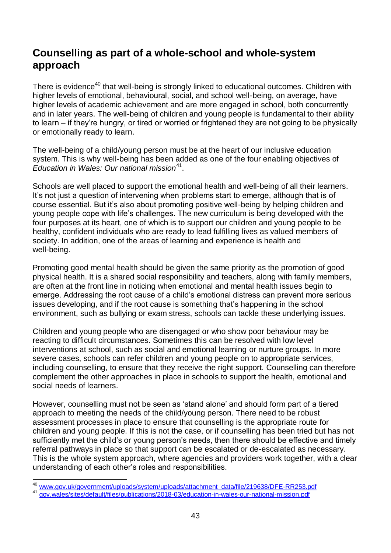# **Counselling as part of a whole-school and whole-system approach**

There is evidence<sup>40</sup> that well-being is strongly linked to educational outcomes. Children with higher levels of emotional, behavioural, social, and school well-being, on average, have higher levels of academic achievement and are more engaged in school, both concurrently and in later years. The well-being of children and young people is fundamental to their ability to learn – if they're hungry, or tired or worried or frightened they are not going to be physically or emotionally ready to learn.

The well-being of a child/young person must be at the heart of our inclusive education system. This is why well-being has been added as one of the four enabling objectives of Education in Wales: Our national mission<sup>41</sup>.

Schools are well placed to support the emotional health and well-being of all their learners. It's not just a question of intervening when problems start to emerge, although that is of course essential. But it's also about promoting positive well-being by helping children and young people cope with life's challenges. The new curriculum is being developed with the four purposes at its heart, one of which is to support our children and young people to be healthy, confident individuals who are ready to lead fulfilling lives as valued members of society. In addition, one of the areas of learning and experience is health and well-being.

Promoting good mental health should be given the same priority as the promotion of good physical health. It is a shared social responsibility and teachers, along with family members, are often at the front line in noticing when emotional and mental health issues begin to emerge. Addressing the root cause of a child's emotional distress can prevent more serious issues developing, and if the root cause is something that's happening in the school environment, such as bullying or exam stress, schools can tackle these underlying issues.

Children and young people who are disengaged or who show poor behaviour may be reacting to difficult circumstances. Sometimes this can be resolved with low level interventions at school, such as social and emotional learning or nurture groups. In more severe cases, schools can refer children and young people on to appropriate services, including counselling, to ensure that they receive the right support. Counselling can therefore complement the other approaches in place in schools to support the health, emotional and social needs of learners.

However, counselling must not be seen as 'stand alone' and should form part of a tiered approach to meeting the needs of the child/young person. There need to be robust assessment processes in place to ensure that counselling is the appropriate route for children and young people. If this is not the case, or if counselling has been tried but has not sufficiently met the child's or young person's needs, then there should be effective and timely referral pathways in place so that support can be escalated or de-escalated as necessary. This is the whole system approach, where agencies and providers work together, with a clear understanding of each other's roles and responsibilities.

 $\overline{a}$ <sup>40</sup> [www.gov.uk/government/uploads/system/uploads/attachment\\_data/file/219638/DFE-RR253.pdf](http://www.gov.uk/government/uploads/system/uploads/attachment_data/file/219638/DFE-RR253.pdf)

<sup>41</sup> [gov.wales/sites/default/files/publications/2018-03/education-in-wales-our-national-mission.pdf](https://gov.wales/sites/default/files/publications/2018-03/education-in-wales-our-national-mission.pdf)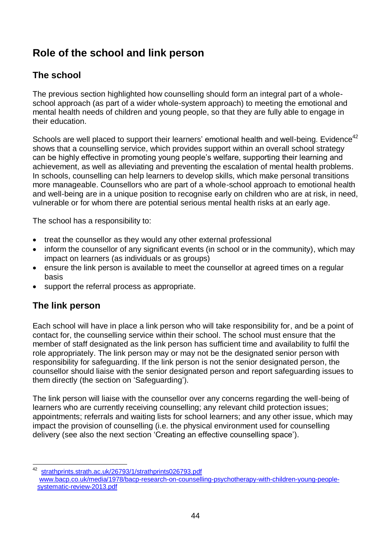# **Role of the school and link person**

## **The school**

The previous section highlighted how counselling should form an integral part of a wholeschool approach (as part of a wider whole-system approach) to meeting the emotional and mental health needs of children and young people, so that they are fully able to engage in their education.

Schools are well placed to support their learners' emotional health and well-being. Evidence<sup>42</sup> shows that a counselling service, which provides support within an overall school strategy can be highly effective in promoting young people's welfare, supporting their learning and achievement, as well as alleviating and preventing the escalation of mental health problems. In schools, counselling can help learners to develop skills, which make personal transitions more manageable. Counsellors who are part of a whole-school approach to emotional health and well-being are in a unique position to recognise early on children who are at risk, in need, vulnerable or for whom there are potential serious mental health risks at an early age.

The school has a responsibility to:

- treat the counsellor as they would any other external professional
- inform the counsellor of any significant events (in school or in the community), which may impact on learners (as individuals or as groups)
- ensure the link person is available to meet the counsellor at agreed times on a regular basis
- support the referral process as appropriate.

### **The link person**

Each school will have in place a link person who will take responsibility for, and be a point of contact for, the counselling service within their school. The school must ensure that the member of staff designated as the link person has sufficient time and availability to fulfil the role appropriately. The link person may or may not be the designated senior person with responsibility for safeguarding. If the link person is not the senior designated person, the counsellor should liaise with the senior designated person and report safeguarding issues to them directly (the section on 'Safeguarding').

The link person will liaise with the counsellor over any concerns regarding the well-being of learners who are currently receiving counselling; any relevant child protection issues; appointments; referrals and waiting lists for school learners; and any other issue, which may impact the provision of counselling (i.e. the physical environment used for counselling delivery (see also the next section 'Creating an effective counselling space').

<sup>42</sup> <sup>42</sup> [strathprints.strath.ac.uk/26793/1/strathprints026793.pdf](http://strathprints.strath.ac.uk/26793/1/strathprints026793.pdf) [www.bacp.co.uk/media/1978/bacp-research-on-counselling-psychotherapy-with-children-young-people](http://www.bacp.co.uk/media/1978/bacp-research-on-counselling-psychotherapy-with-children-young-people-%20systematic-review-2013.pdf)[systematic-review-2013.pdf](http://www.bacp.co.uk/media/1978/bacp-research-on-counselling-psychotherapy-with-children-young-people-%20systematic-review-2013.pdf)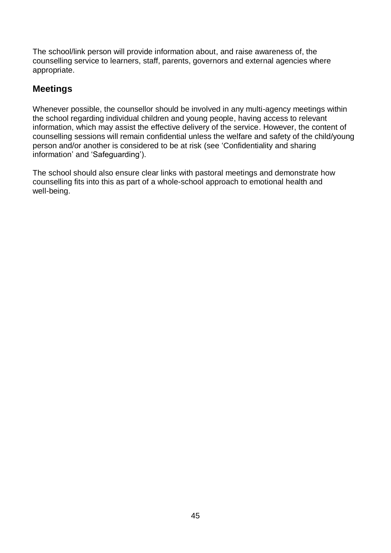The school/link person will provide information about, and raise awareness of, the counselling service to learners, staff, parents, governors and external agencies where appropriate.

## **Meetings**

Whenever possible, the counsellor should be involved in any multi-agency meetings within the school regarding individual children and young people, having access to relevant information, which may assist the effective delivery of the service. However, the content of counselling sessions will remain confidential unless the welfare and safety of the child/young person and/or another is considered to be at risk (see 'Confidentiality and sharing information' and 'Safeguarding').

The school should also ensure clear links with pastoral meetings and demonstrate how counselling fits into this as part of a whole-school approach to emotional health and well-being.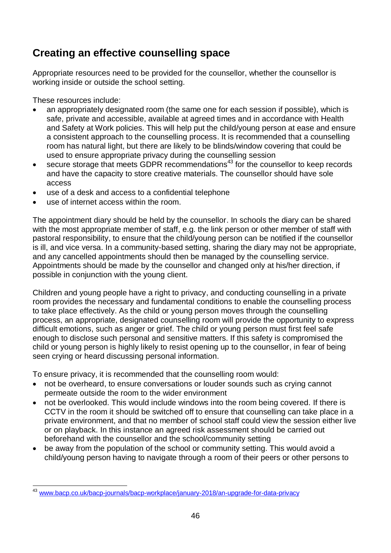# **Creating an effective counselling space**

Appropriate resources need to be provided for the counsellor, whether the counsellor is working inside or outside the school setting.

These resources include:

- an appropriately designated room (the same one for each session if possible), which is safe, private and accessible, available at agreed times and in accordance with Health and Safety at Work policies. This will help put the child/young person at ease and ensure a consistent approach to the counselling process. It is recommended that a counselling room has natural light, but there are likely to be blinds/window covering that could be used to ensure appropriate privacy during the counselling session
- secure storage that meets GDPR recommendations<sup>43</sup> for the counsellor to keep records and have the capacity to store creative materials. The counsellor should have sole access
- use of a desk and access to a confidential telephone
- use of internet access within the room.

The appointment diary should be held by the counsellor. In schools the diary can be shared with the most appropriate member of staff, e.g. the link person or other member of staff with pastoral responsibility, to ensure that the child/young person can be notified if the counsellor is ill, and vice versa. In a community-based setting, sharing the diary may not be appropriate, and any cancelled appointments should then be managed by the counselling service. Appointments should be made by the counsellor and changed only at his/her direction, if possible in conjunction with the young client.

Children and young people have a right to privacy, and conducting counselling in a private room provides the necessary and fundamental conditions to enable the counselling process to take place effectively. As the child or young person moves through the counselling process, an appropriate, designated counselling room will provide the opportunity to express difficult emotions, such as anger or grief. The child or young person must first feel safe enough to disclose such personal and sensitive matters. If this safety is compromised the child or young person is highly likely to resist opening up to the counsellor, in fear of being seen crying or heard discussing personal information.

To ensure privacy, it is recommended that the counselling room would:

- not be overheard, to ensure conversations or louder sounds such as crying cannot permeate outside the room to the wider environment
- not be overlooked. This would include windows into the room being covered. If there is CCTV in the room it should be switched off to ensure that counselling can take place in a private environment, and that no member of school staff could view the session either live or on playback. In this instance an agreed risk assessment should be carried out beforehand with the counsellor and the school/community setting
- be away from the population of the school or community setting. This would avoid a child/young person having to navigate through a room of their peers or other persons to

l [www.bacp.co.uk/bacp-journals/bacp-workplace/january-2018/an-upgrade-for-data-privacy](http://www.bacp.co.uk/bacp-journals/bacp-workplace/january-2018/an-upgrade-for-data-privacy/)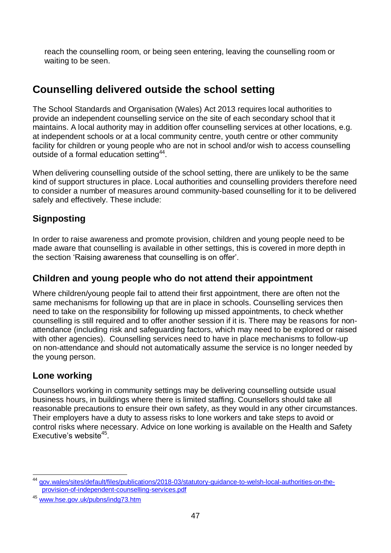reach the counselling room, or being seen entering, leaving the counselling room or waiting to be seen.

# **Counselling delivered outside the school setting**

The School Standards and Organisation (Wales) Act 2013 requires local authorities to provide an independent counselling service on the site of each secondary school that it maintains. A local authority may in addition offer counselling services at other locations, e.g. at independent schools or at a local community centre, youth centre or other community facility for children or young people who are not in school and/or wish to access counselling outside of a formal education setting<sup>44</sup>.

When delivering counselling outside of the school setting, there are unlikely to be the same kind of support structures in place. Local authorities and counselling providers therefore need to consider a number of measures around community-based counselling for it to be delivered safely and effectively. These include:

## **Signposting**

In order to raise awareness and promote provision, children and young people need to be made aware that counselling is available in other settings, this is covered in more depth in the section 'Raising awareness that counselling is on offer'.

### **Children and young people who do not attend their appointment**

Where children/young people fail to attend their first appointment, there are often not the same mechanisms for following up that are in place in schools. Counselling services then need to take on the responsibility for following up missed appointments, to check whether counselling is still required and to offer another session if it is. There may be reasons for nonattendance (including risk and safeguarding factors, which may need to be explored or raised with other agencies). Counselling services need to have in place mechanisms to follow-up on non-attendance and should not automatically assume the service is no longer needed by the young person.

### **Lone working**

Counsellors working in community settings may be delivering counselling outside usual business hours, in buildings where there is limited staffing. Counsellors should take all reasonable precautions to ensure their own safety, as they would in any other circumstances. Their employers have a duty to assess risks to lone workers and take steps to avoid or control risks where necessary. Advice on lone working is available on the Health and Safety Executive's website<sup>45</sup>.

l <sup>44</sup> [gov.wales/sites/default/files/publications/2018-03/statutory-guidance-to-welsh-local-authorities-on-the](https://gov.wales/sites/default/files/publications/2018-03/statutory-guidance-to-welsh-local-authorities-on-the-provision-of-independent-counselling-services.pdf)[provision-of-independent-counselling-services.pdf](https://gov.wales/sites/default/files/publications/2018-03/statutory-guidance-to-welsh-local-authorities-on-the-provision-of-independent-counselling-services.pdf)

<sup>45</sup> [www.hse.gov.uk/pubns/indg73.htm](http://www.hse.gov.uk/pubns/indg73.htm)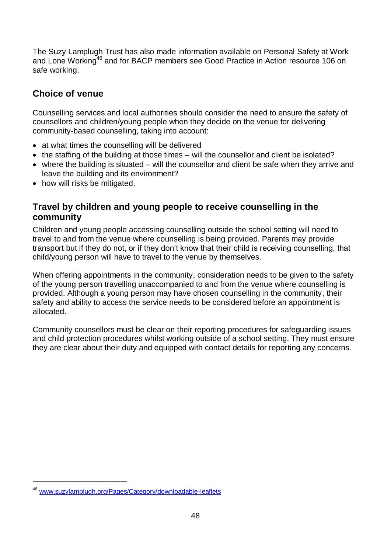The Suzy Lamplugh Trust has also made information available on Personal Safety at Work and Lone Working<sup>46</sup> and for BACP members see Good Practice in Action resource 106 on safe working.

### **Choice of venue**

Counselling services and local authorities should consider the need to ensure the safety of counsellors and children/young people when they decide on the venue for delivering community-based counselling, taking into account:

- at what times the counselling will be delivered
- the staffing of the building at those times will the counsellor and client be isolated?
- where the building is situated will the counsellor and client be safe when they arrive and leave the building and its environment?
- how will risks be mitigated.

### **Travel by children and young people to receive counselling in the community**

Children and young people accessing counselling outside the school setting will need to travel to and from the venue where counselling is being provided. Parents may provide transport but if they do not, or if they don't know that their child is receiving counselling, that child/young person will have to travel to the venue by themselves.

When offering appointments in the community, consideration needs to be given to the safety of the young person travelling unaccompanied to and from the venue where counselling is provided. Although a young person may have chosen counselling in the community, their safety and ability to access the service needs to be considered before an appointment is allocated.

Community counsellors must be clear on their reporting procedures for safeguarding issues and child protection procedures whilst working outside of a school setting. They must ensure they are clear about their duty and equipped with contact details for reporting any concerns.

l

<sup>46</sup> [www.suzylamplugh.org/Pages/Category/downloadable-leaflets](http://www.suzylamplugh.org/Pages/Category/downloadable-leaflets)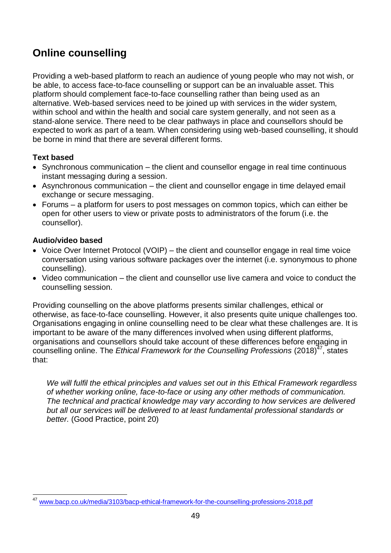# **Online counselling**

Providing a web-based platform to reach an audience of young people who may not wish, or be able, to access face-to-face counselling or support can be an invaluable asset. This platform should complement face-to-face counselling rather than being used as an alternative. Web-based services need to be joined up with services in the wider system, within school and within the health and social care system generally, and not seen as a stand-alone service. There need to be clear pathways in place and counsellors should be expected to work as part of a team. When considering using web-based counselling, it should be borne in mind that there are several different forms.

#### **Text based**

- Synchronous communication the client and counsellor engage in real time continuous instant messaging during a session.
- Asynchronous communication the client and counsellor engage in time delayed email exchange or secure messaging.
- Forums a platform for users to post messages on common topics, which can either be open for other users to view or private posts to administrators of the forum (i.e. the counsellor).

#### **Audio/video based**

- Voice Over Internet Protocol (VOIP) the client and counsellor engage in real time voice conversation using various software packages over the internet (i.e. synonymous to phone counselling).
- Video communication the client and counsellor use live camera and voice to conduct the counselling session.

Providing counselling on the above platforms presents similar challenges, ethical or otherwise, as face-to-face counselling. However, it also presents quite unique challenges too. Organisations engaging in online counselling need to be clear what these challenges are. It is important to be aware of the many differences involved when using different platforms, organisations and counsellors should take account of these differences before engaging in counselling online. The *Ethical Framework for the Counselling Professions* (2018)<sup>47</sup>, states that:

*We will fulfil the ethical principles and values set out in this Ethical Framework regardless of whether working online, face-to-face or using any other methods of communication. The technical and practical knowledge may vary according to how services are delivered but all our services will be delivered to at least fundamental professional standards or better.* (Good Practice, point 20)

l <sup>47</sup> [www.bacp.co.uk/media/3103/bacp-ethical-framework-for-the-counselling-professions-2018.pdf](http://www.bacp.co.uk/media/3103/bacp-ethical-framework-for-the-counselling-professions-2018.pdf)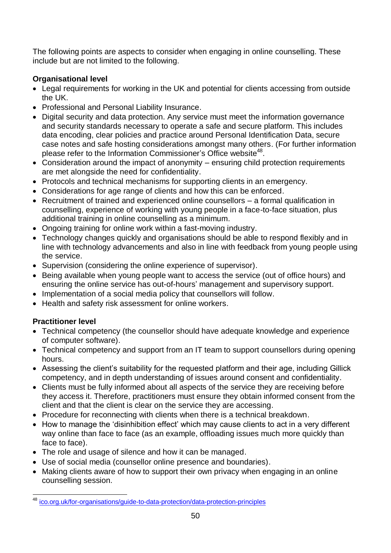The following points are aspects to consider when engaging in online counselling. These include but are not limited to the following.

### **Organisational level**

- Legal requirements for working in the UK and potential for clients accessing from outside the UK.
- Professional and Personal Liability Insurance.
- Digital security and data protection. Any service must meet the information governance and security standards necessary to operate a safe and secure platform. This includes data encoding, clear policies and practice around Personal Identification Data, secure case notes and safe hosting considerations amongst many others. (For further information please refer to the Information Commissioner's Office website<sup>48</sup>.
- Consideration around the impact of anonymity ensuring child protection requirements are met alongside the need for confidentiality.
- Protocols and technical mechanisms for supporting clients in an emergency.
- Considerations for age range of clients and how this can be enforced.
- Recruitment of trained and experienced online counsellors a formal qualification in counselling, experience of working with young people in a face-to-face situation, plus additional training in online counselling as a minimum.
- Ongoing training for online work within a fast-moving industry.
- Technology changes quickly and organisations should be able to respond flexibly and in line with technology advancements and also in line with feedback from young people using the service.
- Supervision (considering the online experience of supervisor).
- Being available when young people want to access the service (out of office hours) and ensuring the online service has out-of-hours' management and supervisory support.
- Implementation of a social media policy that counsellors will follow.
- Health and safety risk assessment for online workers.

### **Practitioner level**

- Technical competency (the counsellor should have adequate knowledge and experience of computer software).
- Technical competency and support from an IT team to support counsellors during opening hours.
- Assessing the client's suitability for the requested platform and their age, including Gillick competency, and in depth understanding of issues around consent and confidentiality.
- Clients must be fully informed about all aspects of the service they are receiving before they access it. Therefore, practitioners must ensure they obtain informed consent from the client and that the client is clear on the service they are accessing.
- Procedure for reconnecting with clients when there is a technical breakdown.
- How to manage the 'disinhibition effect' which may cause clients to act in a very different way online than face to face (as an example, offloading issues much more quickly than face to face).
- The role and usage of silence and how it can be managed.
- Use of social media (counsellor online presence and boundaries).
- Making clients aware of how to support their own privacy when engaging in an online counselling session.

l <sup>48</sup> [ico.org.uk/for-organisations/guide-to-data-protection/data-protection-principles](https://ico.org.uk/for-organisations/guide-to-data-protection/data-protection-principles/)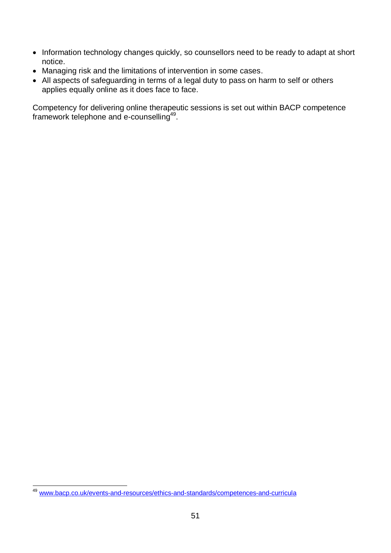- Information technology changes quickly, so counsellors need to be ready to adapt at short notice.
- Managing risk and the limitations of intervention in some cases.
- All aspects of safeguarding in terms of a legal duty to pass on harm to self or others applies equally online as it does face to face.

Competency for delivering online therapeutic sessions is set out within BACP competence framework telephone and e-counselling<sup>49</sup>.

l <sup>49</sup> [www.bacp.co.uk/events-and-resources/ethics-and-standards/competences-and-curricula](http://www.bacp.co.uk/events-and-resources/ethics-and-standards/competences-and-curricula/)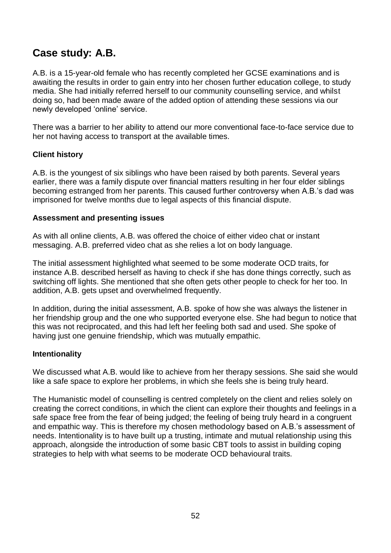# **Case study: A.B.**

A.B. is a 15-year-old female who has recently completed her GCSE examinations and is awaiting the results in order to gain entry into her chosen further education college, to study media. She had initially referred herself to our community counselling service, and whilst doing so, had been made aware of the added option of attending these sessions via our newly developed 'online' service.

There was a barrier to her ability to attend our more conventional face-to-face service due to her not having access to transport at the available times.

#### **Client history**

A.B. is the youngest of six siblings who have been raised by both parents. Several years earlier, there was a family dispute over financial matters resulting in her four elder siblings becoming estranged from her parents. This caused further controversy when A.B.'s dad was imprisoned for twelve months due to legal aspects of this financial dispute.

#### **Assessment and presenting issues**

As with all online clients, A.B. was offered the choice of either video chat or instant messaging. A.B. preferred video chat as she relies a lot on body language.

The initial assessment highlighted what seemed to be some moderate OCD traits, for instance A.B. described herself as having to check if she has done things correctly, such as switching off lights. She mentioned that she often gets other people to check for her too. In addition, A.B. gets upset and overwhelmed frequently.

In addition, during the initial assessment, A.B. spoke of how she was always the listener in her friendship group and the one who supported everyone else. She had begun to notice that this was not reciprocated, and this had left her feeling both sad and used. She spoke of having just one genuine friendship, which was mutually empathic.

#### **Intentionality**

We discussed what A.B. would like to achieve from her therapy sessions. She said she would like a safe space to explore her problems, in which she feels she is being truly heard.

The Humanistic model of counselling is centred completely on the client and relies solely on creating the correct conditions, in which the client can explore their thoughts and feelings in a safe space free from the fear of being judged; the feeling of being truly heard in a congruent and empathic way. This is therefore my chosen methodology based on A.B.'s assessment of needs. Intentionality is to have built up a trusting, intimate and mutual relationship using this approach, alongside the introduction of some basic CBT tools to assist in building coping strategies to help with what seems to be moderate OCD behavioural traits.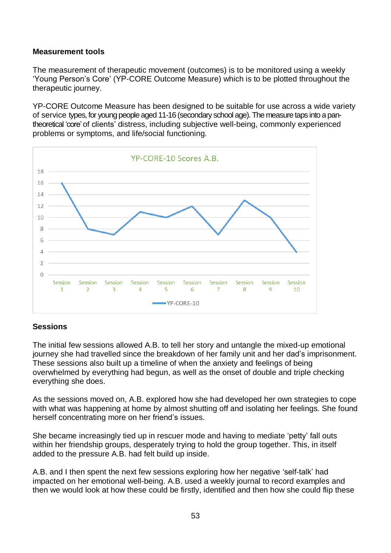#### **Measurement tools**

The measurement of therapeutic movement (outcomes) is to be monitored using a weekly 'Young Person's Core' (YP-CORE Outcome Measure) which is to be plotted throughout the therapeutic journey.

YP-CORE Outcome Measure has been designed to be suitable for use across a wide variety of service types, for young people aged 11-16 (secondary school age).The measure taps into a pantheoretical 'core'of clients' distress, including subjective well-being, commonly experienced problems or symptoms, and life/social functioning.



#### **Sessions**

The initial few sessions allowed A.B. to tell her story and untangle the mixed-up emotional journey she had travelled since the breakdown of her family unit and her dad's imprisonment. These sessions also built up a timeline of when the anxiety and feelings of being overwhelmed by everything had begun, as well as the onset of double and triple checking everything she does.

As the sessions moved on, A.B. explored how she had developed her own strategies to cope with what was happening at home by almost shutting off and isolating her feelings. She found herself concentrating more on her friend's issues.

She became increasingly tied up in rescuer mode and having to mediate 'petty' fall outs within her friendship groups, desperately trying to hold the group together. This, in itself added to the pressure A.B. had felt build up inside.

A.B. and I then spent the next few sessions exploring how her negative 'self-talk' had impacted on her emotional well-being. A.B. used a weekly journal to record examples and then we would look at how these could be firstly, identified and then how she could flip these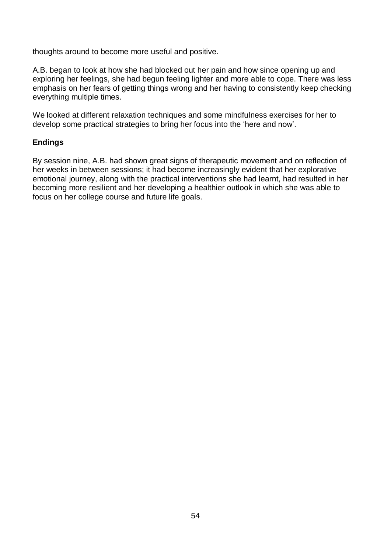thoughts around to become more useful and positive.

A.B. began to look at how she had blocked out her pain and how since opening up and exploring her feelings, she had begun feeling lighter and more able to cope. There was less emphasis on her fears of getting things wrong and her having to consistently keep checking everything multiple times.

We looked at different relaxation techniques and some mindfulness exercises for her to develop some practical strategies to bring her focus into the 'here and now'.

#### **Endings**

By session nine, A.B. had shown great signs of therapeutic movement and on reflection of her weeks in between sessions; it had become increasingly evident that her explorative emotional journey, along with the practical interventions she had learnt, had resulted in her becoming more resilient and her developing a healthier outlook in which she was able to focus on her college course and future life goals.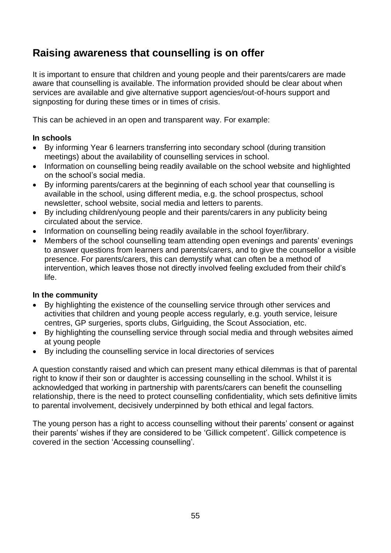# **Raising awareness that counselling is on offer**

It is important to ensure that children and young people and their parents/carers are made aware that counselling is available. The information provided should be clear about when services are available and give alternative support agencies/out-of-hours support and signposting for during these times or in times of crisis.

This can be achieved in an open and transparent way. For example:

#### **In schools**

- By informing Year 6 learners transferring into secondary school (during transition meetings) about the availability of counselling services in school.
- Information on counselling being readily available on the school website and highlighted on the school's social media.
- By informing parents/carers at the beginning of each school year that counselling is available in the school, using different media, e.g. the school prospectus, school newsletter, school website, social media and letters to parents.
- By including children/young people and their parents/carers in any publicity being circulated about the service.
- Information on counselling being readily available in the school foyer/library.
- Members of the school counselling team attending open evenings and parents' evenings to answer questions from learners and parents/carers, and to give the counsellor a visible presence. For parents/carers, this can demystify what can often be a method of intervention, which leaves those not directly involved feeling excluded from their child's life.

#### **In the community**

- By highlighting the existence of the counselling service through other services and activities that children and young people access regularly, e.g. youth service, leisure centres, GP surgeries, sports clubs, Girlguiding, the Scout Association, etc.
- By highlighting the counselling service through social media and through websites aimed at young people
- By including the counselling service in local directories of services

A question constantly raised and which can present many ethical dilemmas is that of parental right to know if their son or daughter is accessing counselling in the school. Whilst it is acknowledged that working in partnership with parents/carers can benefit the counselling relationship, there is the need to protect counselling confidentiality, which sets definitive limits to parental involvement, decisively underpinned by both ethical and legal factors.

The young person has a right to access counselling without their parents' consent or against their parents' wishes if they are considered to be 'Gillick competent'. Gillick competence is covered in the section 'Accessing counselling'.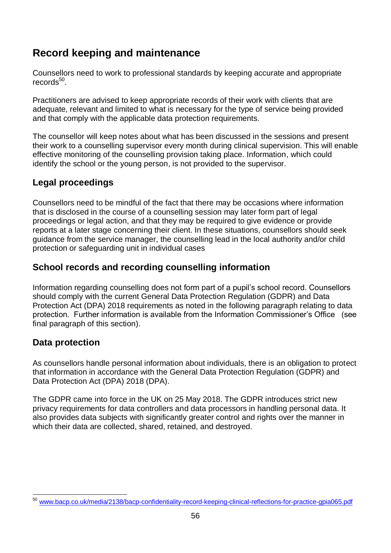# **Record keeping and maintenance**

Counsellors need to work to professional standards by keeping accurate and appropriate records<sup>50</sup>.

Practitioners are advised to keep appropriate records of their work with clients that are adequate, relevant and limited to what is necessary for the type of service being provided and that comply with the applicable data protection requirements.

The counsellor will keep notes about what has been discussed in the sessions and present their work to a counselling supervisor every month during clinical supervision. This will enable effective monitoring of the counselling provision taking place. Information, which could identify the school or the young person, is not provided to the supervisor.

### **Legal proceedings**

Counsellors need to be mindful of the fact that there may be occasions where information that is disclosed in the course of a counselling session may later form part of legal proceedings or legal action, and that they may be required to give evidence or provide reports at a later stage concerning their client. In these situations, counsellors should seek guidance from the service manager, the counselling lead in the local authority and/or child protection or safeguarding unit in individual cases

### **School records and recording counselling information**

Information regarding counselling does not form part of a pupil's school record. Counsellors should comply with the current General Data Protection Regulation (GDPR) and Data Protection Act (DPA) 2018 requirements as noted in the following paragraph relating to data protection. Further information is available from the Information Commissioner's Office (see final paragraph of this section).

### **Data protection**

As counsellors handle personal information about individuals, there is an obligation to protect that information in accordance with the General Data Protection Regulation (GDPR) and Data Protection Act (DPA) 2018 (DPA).

The GDPR came into force in the UK on 25 May 2018. The GDPR introduces strict new privacy requirements for data controllers and data processors in handling personal data. It also provides data subjects with significantly greater control and rights over the manner in which their data are collected, shared, retained, and destroyed.

l [www.bacp.co.uk/media/2138/bacp-confidentiality-record-keeping-clinical-reflections-for-practice-gpia065.pdf](http://www.bacp.co.uk/media/2138/bacp-confidentiality-record-keeping-clinical-reflections-for-practice-gpia065.pdf)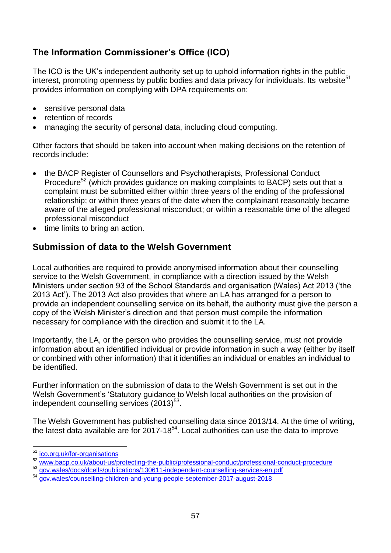## **The Information Commissioner's Office (ICO)**

The ICO is the UK's independent authority set up to uphold information rights in the public interest, promoting openness by public bodies and data privacy for individuals. Its website<sup>51</sup> provides information on complying with DPA requirements on:

- sensitive personal data
- retention of records
- managing the security of personal data, including cloud computing.

Other factors that should be taken into account when making decisions on the retention of records include:

- the BACP Register of Counsellors and Psychotherapists, Professional Conduct Procedure<sup>52</sup> (which provides guidance on making complaints to BACP) sets out that a complaint must be submitted either within three years of the ending of the professional relationship; or within three years of the date when the complainant reasonably became aware of the alleged professional misconduct; or within a reasonable time of the alleged professional misconduct
- time limits to bring an action.

### **Submission of data to the Welsh Government**

Local authorities are required to provide anonymised information about their counselling service to the Welsh Government, in compliance with a direction issued by the Welsh Ministers under section 93 of the School Standards and organisation (Wales) Act 2013 ('the 2013 Act'). The 2013 Act also provides that where an LA has arranged for a person to provide an independent counselling service on its behalf, the authority must give the person a copy of the Welsh Minister's direction and that person must compile the information necessary for compliance with the direction and submit it to the LA.

Importantly, the LA, or the person who provides the counselling service, must not provide information about an identified individual or provide information in such a way (either by itself or combined with other information) that it identifies an individual or enables an individual to be identified.

Further information on the submission of data to the Welsh Government is set out in the Welsh Government's 'Statutory guidance to Welsh local authorities on the provision of independent counselling services  $(2013)^{53}$ .

The Welsh Government has published counselling data since 2013/14. At the time of writing, the latest data available are for 2017-18 $54$ . Local authorities can use the data to improve

l <sup>51</sup> [ico.org.uk/for-organisations](https://ico.org.uk/for-organisations/)

<sup>52</sup> [www.bacp.co.uk/about-us/protecting-the-public/professional-conduct/professional-conduct-procedure](http://www.bacp.co.uk/about-us/protecting-the-public/professional-conduct/professional-conduct-procedure/)<br>53 gov wales/docs/dcells/publications/130611-independent-counselling-services-en pdf

<sup>53</sup> [gov.wales/docs/dcells/publications/130611-independent-counselling-services-en.pdf](http://gov.wales/docs/dcells/publications/130611-independent-counselling-services-en.pdf)

<sup>54</sup> [gov.wales/counselling-children-and-young-people-september-2017-august-2018](https://gov.wales/counselling-children-and-young-people-september-2017-august-2018)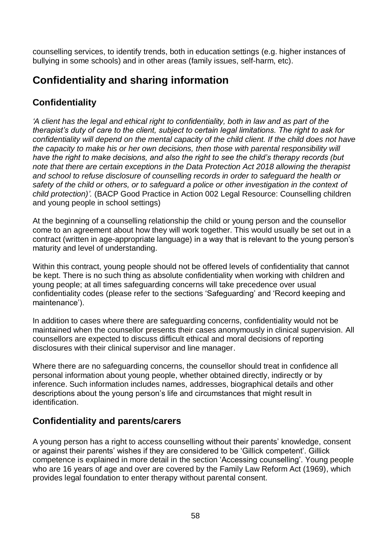counselling services, to identify trends, both in education settings (e.g. higher instances of bullying in some schools) and in other areas (family issues, self-harm, etc).

# **Confidentiality and sharing information**

## **Confidentiality**

*'A client has the legal and ethical right to confidentiality, both in law and as part of the therapist's duty of care to the client, subject to certain legal limitations. The right to ask for confidentiality will depend on the mental capacity of the child client. If the child does not have the capacity to make his or her own decisions, then those with parental responsibility will have the right to make decisions, and also the right to see the child's therapy records (but note that there are certain exceptions in the Data Protection Act 2018 allowing the therapist and school to refuse disclosure of counselling records in order to safeguard the health or safety of the child or others, or to safeguard a police or other investigation in the context of child protection)'.* (BACP Good Practice in Action 002 Legal Resource: Counselling children and young people in school settings)

At the beginning of a counselling relationship the child or young person and the counsellor come to an agreement about how they will work together. This would usually be set out in a contract (written in age-appropriate language) in a way that is relevant to the young person's maturity and level of understanding.

Within this contract, young people should not be offered levels of confidentiality that cannot be kept. There is no such thing as absolute confidentiality when working with children and young people; at all times safeguarding concerns will take precedence over usual confidentiality codes (please refer to the sections 'Safeguarding' and 'Record keeping and maintenance').

In addition to cases where there are safeguarding concerns, confidentiality would not be maintained when the counsellor presents their cases anonymously in clinical supervision. All counsellors are expected to discuss difficult ethical and moral decisions of reporting disclosures with their clinical supervisor and line manager.

Where there are no safeguarding concerns, the counsellor should treat in confidence all personal information about young people, whether obtained directly, indirectly or by inference. Such information includes names, addresses, biographical details and other descriptions about the young person's life and circumstances that might result in identification.

### **Confidentiality and parents/carers**

A young person has a right to access counselling without their parents' knowledge, consent or against their parents' wishes if they are considered to be 'Gillick competent'. Gillick competence is explained in more detail in the section 'Accessing counselling'. Young people who are 16 years of age and over are covered by the Family Law Reform Act (1969), which provides legal foundation to enter therapy without parental consent.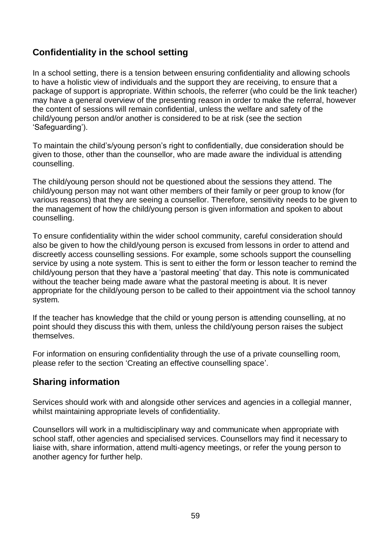### **Confidentiality in the school setting**

In a school setting, there is a tension between ensuring confidentiality and allowing schools to have a holistic view of individuals and the support they are receiving, to ensure that a package of support is appropriate. Within schools, the referrer (who could be the link teacher) may have a general overview of the presenting reason in order to make the referral, however the content of sessions will remain confidential, unless the welfare and safety of the child/young person and/or another is considered to be at risk (see the section 'Safeguarding').

To maintain the child's/young person's right to confidentially, due consideration should be given to those, other than the counsellor, who are made aware the individual is attending counselling.

The child/young person should not be questioned about the sessions they attend. The child/young person may not want other members of their family or peer group to know (for various reasons) that they are seeing a counsellor. Therefore, sensitivity needs to be given to the management of how the child/young person is given information and spoken to about counselling.

To ensure confidentiality within the wider school community, careful consideration should also be given to how the child/young person is excused from lessons in order to attend and discreetly access counselling sessions. For example, some schools support the counselling service by using a note system. This is sent to either the form or lesson teacher to remind the child/young person that they have a 'pastoral meeting' that day. This note is communicated without the teacher being made aware what the pastoral meeting is about. It is never appropriate for the child/young person to be called to their appointment via the school tannoy system.

If the teacher has knowledge that the child or young person is attending counselling, at no point should they discuss this with them, unless the child/young person raises the subject themselves.

For information on ensuring confidentiality through the use of a private counselling room, please refer to the section 'Creating an effective counselling space'.

### **Sharing information**

Services should work with and alongside other services and agencies in a collegial manner, whilst maintaining appropriate levels of confidentiality.

Counsellors will work in a multidisciplinary way and communicate when appropriate with school staff, other agencies and specialised services. Counsellors may find it necessary to liaise with, share information, attend multi-agency meetings, or refer the young person to another agency for further help.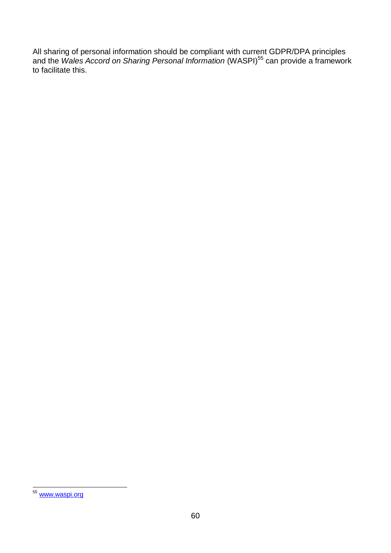All sharing of personal information should be compliant with current GDPR/DPA principles and the *Wales Accord on Sharing Personal Information* (WASPI)<sup>55</sup> can provide a framework to facilitate this.

 $\overline{a}$ <sup>55</sup> [www.waspi.org](http://www.waspi.org/)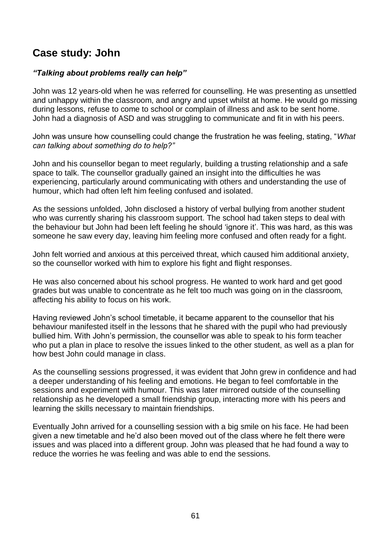# **Case study: John**

#### *"Talking about problems really can help"*

John was 12 years-old when he was referred for counselling. He was presenting as unsettled and unhappy within the classroom, and angry and upset whilst at home. He would go missing during lessons, refuse to come to school or complain of illness and ask to be sent home. John had a diagnosis of ASD and was struggling to communicate and fit in with his peers.

John was unsure how counselling could change the frustration he was feeling, stating, "*What can talking about something do to help?"* 

John and his counsellor began to meet regularly, building a trusting relationship and a safe space to talk. The counsellor gradually gained an insight into the difficulties he was experiencing, particularly around communicating with others and understanding the use of humour, which had often left him feeling confused and isolated.

As the sessions unfolded, John disclosed a history of verbal bullying from another student who was currently sharing his classroom support. The school had taken steps to deal with the behaviour but John had been left feeling he should 'ignore it'. This was hard, as this was someone he saw every day, leaving him feeling more confused and often ready for a fight.

John felt worried and anxious at this perceived threat, which caused him additional anxiety, so the counsellor worked with him to explore his fight and flight responses.

He was also concerned about his school progress. He wanted to work hard and get good grades but was unable to concentrate as he felt too much was going on in the classroom, affecting his ability to focus on his work.

Having reviewed John's school timetable, it became apparent to the counsellor that his behaviour manifested itself in the lessons that he shared with the pupil who had previously bullied him. With John's permission, the counsellor was able to speak to his form teacher who put a plan in place to resolve the issues linked to the other student, as well as a plan for how best John could manage in class.

As the counselling sessions progressed, it was evident that John grew in confidence and had a deeper understanding of his feeling and emotions. He began to feel comfortable in the sessions and experiment with humour. This was later mirrored outside of the counselling relationship as he developed a small friendship group, interacting more with his peers and learning the skills necessary to maintain friendships.

Eventually John arrived for a counselling session with a big smile on his face. He had been given a new timetable and he'd also been moved out of the class where he felt there were issues and was placed into a different group. John was pleased that he had found a way to reduce the worries he was feeling and was able to end the sessions.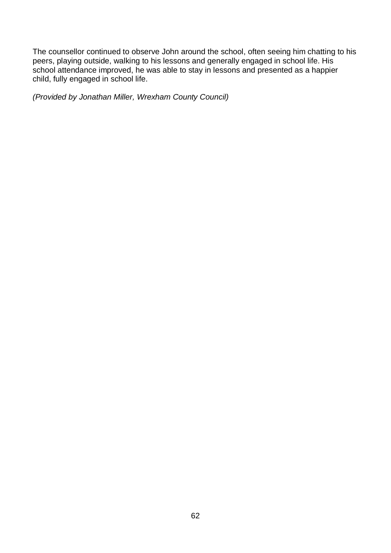The counsellor continued to observe John around the school, often seeing him chatting to his peers, playing outside, walking to his lessons and generally engaged in school life. His school attendance improved, he was able to stay in lessons and presented as a happier child, fully engaged in school life.

*(Provided by Jonathan Miller, Wrexham County Council)*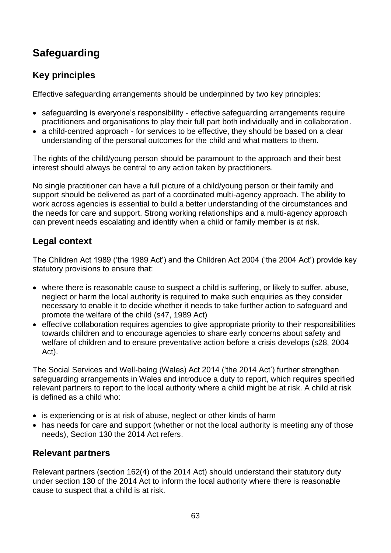# **Safeguarding**

## **Key principles**

Effective safeguarding arrangements should be underpinned by two key principles:

- safeguarding is everyone's responsibility effective safeguarding arrangements require practitioners and organisations to play their full part both individually and in collaboration.
- a child-centred approach for services to be effective, they should be based on a clear understanding of the personal outcomes for the child and what matters to them.

The rights of the child/young person should be paramount to the approach and their best interest should always be central to any action taken by practitioners.

No single practitioner can have a full picture of a child/young person or their family and support should be delivered as part of a coordinated multi-agency approach. The ability to work across agencies is essential to build a better understanding of the circumstances and the needs for care and support. Strong working relationships and a multi-agency approach can prevent needs escalating and identify when a child or family member is at risk.

## **Legal context**

The Children Act 1989 ('the 1989 Act') and the Children Act 2004 ('the 2004 Act') provide key statutory provisions to ensure that:

- where there is reasonable cause to suspect a child is suffering, or likely to suffer, abuse, neglect or harm the local authority is required to make such enquiries as they consider necessary to enable it to decide whether it needs to take further action to safeguard and promote the welfare of the child (s47, 1989 Act)
- effective collaboration requires agencies to give appropriate priority to their responsibilities towards children and to encourage agencies to share early concerns about safety and welfare of children and to ensure preventative action before a crisis develops (s28, 2004 Act).

The Social Services and Well-being (Wales) Act 2014 ('the 2014 Act') further strengthen safeguarding arrangements in Wales and introduce a duty to report, which requires specified relevant partners to report to the local authority where a child might be at risk. A child at risk is defined as a child who:

- is experiencing or is at risk of abuse, neglect or other kinds of harm
- has needs for care and support (whether or not the local authority is meeting any of those needs), Section 130 the 2014 Act refers.

### **Relevant partners**

Relevant partners (section 162(4) of the 2014 Act) should understand their statutory duty under section 130 of the 2014 Act to inform the local authority where there is reasonable cause to suspect that a child is at risk.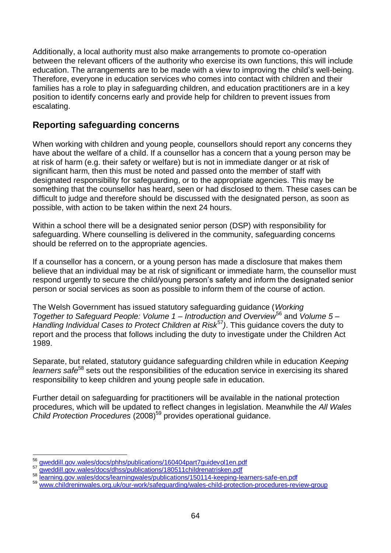Additionally, a local authority must also make arrangements to promote co-operation between the relevant officers of the authority who exercise its own functions, this will include education. The arrangements are to be made with a view to improving the child's well-being. Therefore, everyone in education services who comes into contact with children and their families has a role to play in safeguarding children, and education practitioners are in a key position to identify concerns early and provide help for children to prevent issues from escalating.

### **Reporting safeguarding concerns**

When working with children and young people, counsellors should report any concerns they have about the welfare of a child. If a counsellor has a concern that a young person may be at risk of harm (e.g. their safety or welfare) but is not in immediate danger or at risk of significant harm, then this must be noted and passed onto the member of staff with designated responsibility for safeguarding, or to the appropriate agencies. This may be something that the counsellor has heard, seen or had disclosed to them. These cases can be difficult to judge and therefore should be discussed with the designated person, as soon as possible, with action to be taken within the next 24 hours.

Within a school there will be a designated senior person (DSP) with responsibility for safeguarding. Where counselling is delivered in the community, safeguarding concerns should be referred on to the appropriate agencies.

If a counsellor has a concern, or a young person has made a disclosure that makes them believe that an individual may be at risk of significant or immediate harm, the counsellor must respond urgently to secure the child/young person's safety and inform the designated senior person or social services as soon as possible to inform them of the course of action.

The Welsh Government has issued statutory safeguarding guidance (*Working Together to Safeguard People: Volume 1 – Introduction and Overview*<sup>56</sup> and *Volume 5 – Handling Individual Cases to Protect Children at Risk<sup>57</sup>). This guidance covers the duty to* report and the process that follows including the duty to investigate under the Children Act 1989.

Separate, but related, statutory guidance safeguarding children while in education *Keeping learners safe*<sup>58</sup> sets out the responsibilities of the education service in exercising its shared responsibility to keep children and young people safe in education.

Further detail on safeguarding for practitioners will be available in the national protection procedures, which will be updated to reflect changes in legislation. Meanwhile the *All Wales Child Protection Procedures* (2008)<sup>59</sup> provides operational guidance.

l <sup>56</sup> [gweddill.gov.wales/docs/phhs/publications/160404part7guidevol1en.pdf](https://gweddill.gov.wales/docs/phhs/publications/160404part7guidevol1en.pdf)<br><sup>57</sup> gweddill.gov.wales/docs/dbss/publications/180511childrenatrisken.pdf

<sup>57</sup> [gweddill.gov.wales/docs/dhss/publications/180511childrenatrisken.pdf](https://gweddill.gov.wales/docs/dhss/publications/180511childrenatrisken.pdf)

<sup>58</sup> [learning.gov.wales/docs/learningwales/publications/150114-keeping-learners-safe-en.pdf](http://learning.gov.wales/docs/learningwales/publications/150114-keeping-learners-safe-en.pdf)

<sup>59</sup> [www.childreninwales.org.uk/our-work/safeguarding/wales-child-protection-procedures-review-group](http://www.childreninwales.org.uk/our-work/safeguarding/wales-child-protection-procedures-review-group/)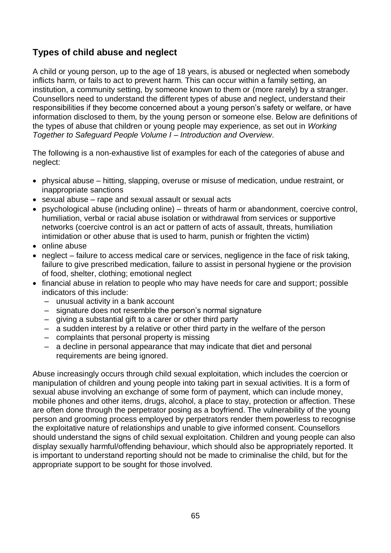## **Types of child abuse and neglect**

A child or young person, up to the age of 18 years, is abused or neglected when somebody inflicts harm, or fails to act to prevent harm. This can occur within a family setting, an institution, a community setting, by someone known to them or (more rarely) by a stranger. Counsellors need to understand the different types of abuse and neglect, understand their responsibilities if they become concerned about a young person's safety or welfare, or have information disclosed to them, by the young person or someone else. Below are definitions of the types of abuse that children or young people may experience, as set out in *Working Together to Safeguard People Volume I – Introduction and Overview*.

The following is a non-exhaustive list of examples for each of the categories of abuse and neglect:

- physical abuse hitting, slapping, overuse or misuse of medication, undue restraint, or inappropriate sanctions
- sexual abuse rape and sexual assault or sexual acts
- psychological abuse (including online) threats of harm or abandonment, coercive control, humiliation, verbal or racial abuse isolation or withdrawal from services or supportive networks (coercive control is an act or pattern of acts of assault, threats, humiliation intimidation or other abuse that is used to harm, punish or frighten the victim)
- online abuse
- neglect failure to access medical care or services, negligence in the face of risk taking, failure to give prescribed medication, failure to assist in personal hygiene or the provision of food, shelter, clothing; emotional neglect
- financial abuse in relation to people who may have needs for care and support; possible indicators of this include:
	- unusual activity in a bank account
	- signature does not resemble the person's normal signature
	- giving a substantial gift to a carer or other third party
	- a sudden interest by a relative or other third party in the welfare of the person
	- complaints that personal property is missing
	- a decline in personal appearance that may indicate that diet and personal requirements are being ignored.

Abuse increasingly occurs through child sexual exploitation, which includes the coercion or manipulation of children and young people into taking part in sexual activities. It is a form of sexual abuse involving an exchange of some form of payment, which can include money, mobile phones and other items, drugs, alcohol, a place to stay, protection or affection. These are often done through the perpetrator posing as a boyfriend. The vulnerability of the young person and grooming process employed by perpetrators render them powerless to recognise the exploitative nature of relationships and unable to give informed consent. Counsellors should understand the signs of child sexual exploitation. Children and young people can also display sexually harmful/offending behaviour, which should also be appropriately reported. It is important to understand reporting should not be made to criminalise the child, but for the appropriate support to be sought for those involved.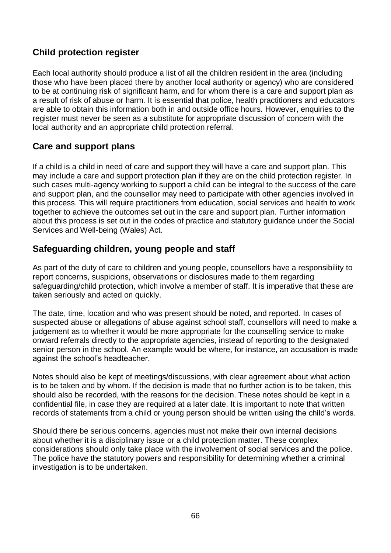### **Child protection register**

Each local authority should produce a list of all the children resident in the area (including those who have been placed there by another local authority or agency) who are considered to be at continuing risk of significant harm, and for whom there is a care and support plan as a result of risk of abuse or harm. It is essential that police, health practitioners and educators are able to obtain this information both in and outside office hours. However, enquiries to the register must never be seen as a substitute for appropriate discussion of concern with the local authority and an appropriate child protection referral.

### **Care and support plans**

If a child is a child in need of care and support they will have a care and support plan. This may include a care and support protection plan if they are on the child protection register. In such cases multi-agency working to support a child can be integral to the success of the care and support plan, and the counsellor may need to participate with other agencies involved in this process. This will require practitioners from education, social services and health to work together to achieve the outcomes set out in the care and support plan. Further information about this process is set out in the codes of practice and statutory guidance under the Social Services and Well-being (Wales) Act.

### **Safeguarding children, young people and staff**

As part of the duty of care to children and young people, counsellors have a responsibility to report concerns, suspicions, observations or disclosures made to them regarding safeguarding/child protection, which involve a member of staff. It is imperative that these are taken seriously and acted on quickly.

The date, time, location and who was present should be noted, and reported. In cases of suspected abuse or allegations of abuse against school staff, counsellors will need to make a judgement as to whether it would be more appropriate for the counselling service to make onward referrals directly to the appropriate agencies, instead of reporting to the designated senior person in the school. An example would be where, for instance, an accusation is made against the school's headteacher.

Notes should also be kept of meetings/discussions, with clear agreement about what action is to be taken and by whom. If the decision is made that no further action is to be taken, this should also be recorded, with the reasons for the decision. These notes should be kept in a confidential file, in case they are required at a later date. It is important to note that written records of statements from a child or young person should be written using the child's words.

Should there be serious concerns, agencies must not make their own internal decisions about whether it is a disciplinary issue or a child protection matter. These complex considerations should only take place with the involvement of social services and the police. The police have the statutory powers and responsibility for determining whether a criminal investigation is to be undertaken.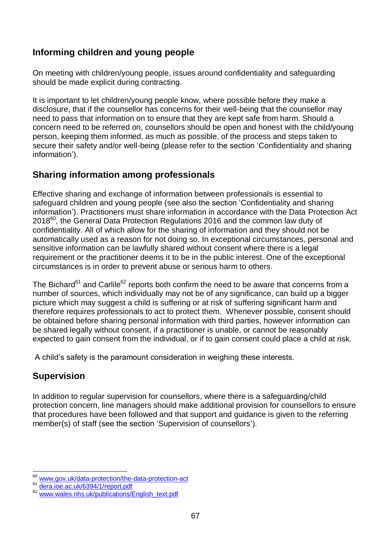### **Informing children and young people**

On meeting with children/young people, issues around confidentiality and safeguarding should be made explicit during contracting.

It is important to let children/young people know, where possible before they make a disclosure, that if the counsellor has concerns for their well-being that the counsellor may need to pass that information on to ensure that they are kept safe from harm. Should a concern need to be referred on, counsellors should be open and honest with the child/young person, keeping them informed, as much as possible, of the process and steps taken to secure their safety and/or well-being (please refer to the section 'Confidentiality and sharing information').

### **Sharing information among professionals**

Effective sharing and exchange of information between professionals is essential to safeguard children and young people (see also the section 'Confidentiality and sharing information'). Practitioners must share information in accordance with the Data Protection Act  $2018^{60}$ , the General Data Protection Regulations 2016 and the common law duty of confidentiality. All of which allow for the sharing of information and they should not be automatically used as a reason for not doing so. In exceptional circumstances, personal and sensitive information can be lawfully shared without consent where there is a legal requirement or the practitioner deems it to be in the public interest. One of the exceptional circumstances is in order to prevent abuse or serious harm to others.

The Bichard<sup>61</sup> and Carlile<sup>62</sup> reports both confirm the need to be aware that concerns from a number of sources, which individually may not be of any significance, can build up a bigger picture which may suggest a child is suffering or at risk of suffering significant harm and therefore requires professionals to act to protect them. Whenever possible, consent should be obtained before sharing personal information with third parties, however information can be shared legally without consent, if a practitioner is unable, or cannot be reasonably expected to gain consent from the individual, or if to gain consent could place a child at risk.

A child's safety is the paramount consideration in weighing these interests.

## **Supervision**

In addition to regular supervision for counsellors, where there is a safeguarding/child protection concern, line managers should make additional provision for counsellors to ensure that procedures have been followed and that support and guidance is given to the referring member(s) of staff (see the section 'Supervision of counsellors').

 $\overline{a}$ [www.gov.uk/data-protection/the-data-protection-act](http://www.gov.uk/data-protection/the-data-protection-act)

[dera.ioe.ac.uk/6394/1/report.pdf](http://dera.ioe.ac.uk/6394/1/report.pdf)

[www.wales.nhs.uk/publications/English\\_text.pdf](http://www.wales.nhs.uk/publications/English_text.pdf)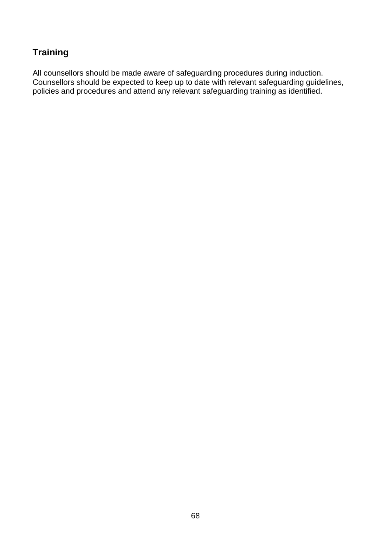### **Training**

All counsellors should be made aware of safeguarding procedures during induction. Counsellors should be expected to keep up to date with relevant safeguarding guidelines, policies and procedures and attend any relevant safeguarding training as identified.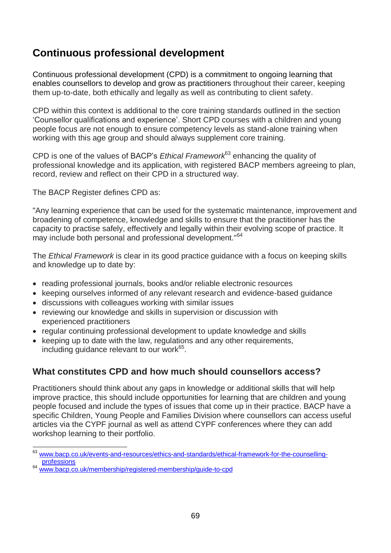# **Continuous professional development**

Continuous professional development (CPD) is a commitment to ongoing learning that enables counsellors to develop and grow as practitioners throughout their career, keeping them up-to-date, both ethically and legally as well as contributing to client safety.

CPD within this context is additional to the core training standards outlined in the section 'Counsellor qualifications and experience'. Short CPD courses with a children and young people focus are not enough to ensure competency levels as stand-alone training when working with this age group and should always supplement core training.

CPD is one of the values of BACP's *Ethical Framework*<sup>63</sup> enhancing the quality of professional knowledge and its application, with registered BACP members agreeing to plan, record, review and reflect on their CPD in a structured way.

The BACP Register defines CPD as:

"Any learning experience that can be used for the systematic maintenance, improvement and broadening of competence, knowledge and skills to ensure that the practitioner has the capacity to practise safely, effectively and legally within their evolving scope of practice. It may include both personal and professional development."<sup>64</sup>

The *Ethical Framework* is clear in its good practice guidance with a focus on keeping skills and knowledge up to date by:

- reading professional journals, books and/or reliable electronic resources
- keeping ourselves informed of any relevant research and evidence-based guidance
- discussions with colleagues working with similar issues
- reviewing our knowledge and skills in supervision or discussion with experienced practitioners
- regular continuing professional development to update knowledge and skills
- keeping up to date with the law, regulations and any other requirements, including guidance relevant to our work<sup>65</sup>.

### **What constitutes CPD and how much should counsellors access?**

Practitioners should think about any gaps in knowledge or additional skills that will help improve practice, this should include opportunities for learning that are children and young people focused and include the types of issues that come up in their practice. BACP have a specific Children, Young People and Families Division where counsellors can access useful articles via the CYPF journal as well as attend CYPF conferences where they can add workshop learning to their portfolio.

l

[www.bacp.co.uk/events-and-resources/ethics-and-standards/ethical-framework-for-the-counselling](http://www.bacp.co.uk/events-and-resources/ethics-and-standards/ethical-framework-for-the-counselling-professions)[professions](http://www.bacp.co.uk/events-and-resources/ethics-and-standards/ethical-framework-for-the-counselling-professions)

<sup>64</sup> [www.bacp.co.uk/membership/registered-membership/guide-to-cpd](http://www.bacp.co.uk/membership/registered-membership/guide-to-cpd/)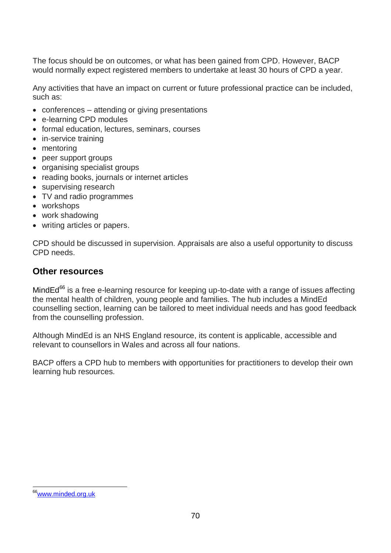The focus should be on outcomes, or what has been gained from CPD. However, BACP would normally expect registered members to undertake at least 30 hours of CPD a year.

Any activities that have an impact on current or future professional practice can be included, such as:

- conferences attending or giving presentations
- e-learning CPD modules
- formal education, lectures, seminars, courses
- in-service training
- mentoring
- peer support groups
- organising specialist groups
- reading books, journals or internet articles
- supervising research
- TV and radio programmes
- workshops
- work shadowing
- writing articles or papers.

CPD should be discussed in supervision. Appraisals are also a useful opportunity to discuss CPD needs.

#### **Other resources**

MindEd $^{66}$  is a free e-learning resource for keeping up-to-date with a range of issues affecting the mental health of children, young people and families. The hub includes a MindEd counselling section, learning can be tailored to meet individual needs and has good feedback from the counselling profession.

Although MindEd is an NHS England resource, its content is applicable, accessible and relevant to counsellors in Wales and across all four nations.

BACP offers a CPD hub to members with opportunities for practitioners to develop their own learning hub resources.

 $\overline{a}$ <sup>66</sup>[www.minded.org.uk](http://www.minded.org.uk/)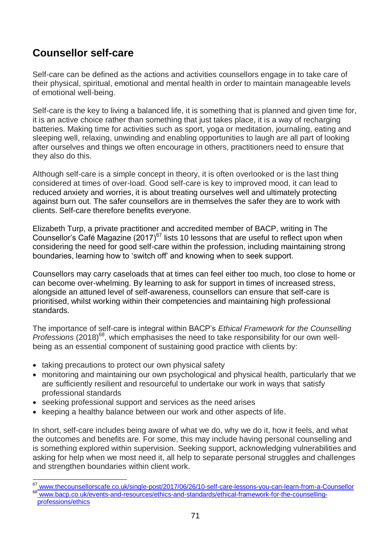# **Counsellor self-care**

Self-care can be defined as the actions and activities counsellors engage in to take care of their physical, spiritual, emotional and mental health in order to maintain manageable levels of emotional well-being.

Self-care is the key to living a balanced life, it is something that is planned and given time for, it is an active choice rather than something that just takes place, it is a way of recharging batteries. Making time for activities such as sport, yoga or meditation, journaling, eating and sleeping well, relaxing, unwinding and enabling opportunities to laugh are all part of looking after ourselves and things we often encourage in others, practitioners need to ensure that they also do this.

Although self-care is a simple concept in theory, it is often overlooked or is the last thing considered at times of over-load. Good self-care is key to improved mood, it can lead to reduced anxiety and worries, it is about treating ourselves well and ultimately protecting against burn out. The safer counsellors are in themselves the safer they are to work with clients. Self-care therefore benefits everyone.

Elizabeth Turp, a private practitioner and accredited member of BACP, writing in The Counsellor's Café Magazine (2017)<sup>67</sup> lists 10 lessons that are useful to reflect upon when considering the need for good self-care within the profession, including maintaining strong boundaries, learning how to 'switch off' and knowing when to seek support.

Counsellors may carry caseloads that at times can feel either too much, too close to home or can become over-whelming. By learning to ask for support in times of increased stress, alongside an attuned level of self-awareness, counsellors can ensure that self-care is prioritised, whilst working within their competencies and maintaining high professional standards.

The importance of self-care is integral within BACP's *Ethical Framework for the Counselling Professions* (2018)<sup>68</sup>, which emphasises the need to take responsibility for our own wellbeing as an essential component of sustaining good practice with clients by:

- taking precautions to protect our own physical safety
- monitoring and maintaining our own psychological and physical health, particularly that we are sufficiently resilient and resourceful to undertake our work in ways that satisfy professional standards
- seeking professional support and services as the need arises
- keeping a healthy balance between our work and other aspects of life.

In short, self-care includes being aware of what we do, why we do it, how it feels, and what the outcomes and benefits are. For some, this may include having personal counselling and is something explored within supervision. Seeking support, acknowledging vulnerabilities and asking for help when we most need it, all help to separate personal struggles and challenges and strengthen boundaries within client work.

 $\overline{a}$ [www.thecounsellorscafe.co.uk/single-post/2017/06/26/10-self-care-lessons-you-can-learn-from-a-Counsellor](http://www.thecounsellorscafe.co.uk/single-post/2017/06/26/10-self-care-lessons-you-can-learn-from-a-Counsellor)

<sup>68</sup> [www.bacp.co.uk/events-and-resources/ethics-and-standards/ethical-framework-for-the-counselling](http://www.bacp.co.uk/events-and-resources/ethics-and-standards/ethical-framework-for-the-counselling-professions/ethics/)[professions/ethics](http://www.bacp.co.uk/events-and-resources/ethics-and-standards/ethical-framework-for-the-counselling-professions/ethics/)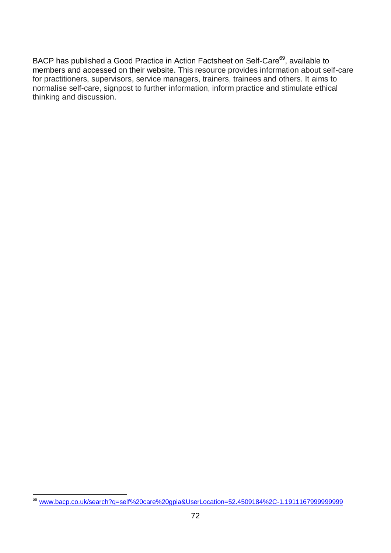BACP has published a Good Practice in Action Factsheet on Self-Care<sup>69</sup>, available to members and accessed on their website. This resource provides information about self-care for practitioners, supervisors, service managers, trainers, trainees and others. It aims to normalise self-care, signpost to further information, inform practice and stimulate ethical thinking and discussion.

l <sup>69</sup> [www.bacp.co.uk/search?q=self%20care%20gpia&UserLocation=52.4509184%2C-1.1911167999999999](http://www.bacp.co.uk/search?q=self%20care%20gpia&UserLocation=52.4509184%2C-1.1911167999999999)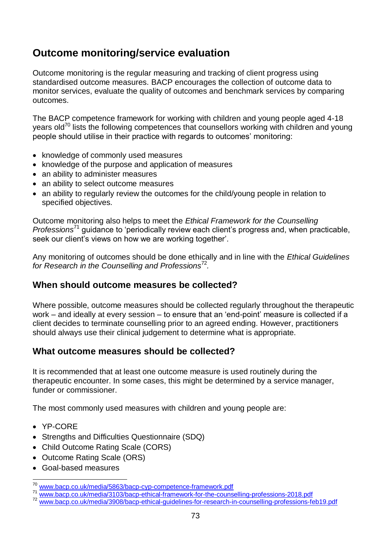## **Outcome monitoring/service evaluation**

Outcome monitoring is the regular measuring and tracking of client progress using standardised outcome measures. BACP encourages the collection of outcome data to monitor services, evaluate the quality of outcomes and benchmark services by comparing outcomes.

The BACP competence framework for working with children and young people aged 4-18 years old<sup>70</sup> lists the following competences that counsellors working with children and young people should utilise in their practice with regards to outcomes' monitoring:

- knowledge of commonly used measures
- knowledge of the purpose and application of measures
- an ability to administer measures
- an ability to select outcome measures
- an ability to regularly review the outcomes for the child/young people in relation to specified objectives.

Outcome monitoring also helps to meet the *Ethical Framework for the Counselling Professions*<sup>71</sup> guidance to 'periodically review each client's progress and, when practicable, seek our client's views on how we are working together'.

Any monitoring of outcomes should be done ethically and in line with the *Ethical Guidelines*  for Research in the Counselling and Professions<sup>72</sup>.

### **When should outcome measures be collected?**

Where possible, outcome measures should be collected regularly throughout the therapeutic work – and ideally at every session – to ensure that an 'end-point' measure is collected if a client decides to terminate counselling prior to an agreed ending. However, practitioners should always use their clinical judgement to determine what is appropriate.

### **What outcome measures should be collected?**

It is recommended that at least one outcome measure is used routinely during the therapeutic encounter. In some cases, this might be determined by a service manager, funder or commissioner.

The most commonly used measures with children and young people are:

- YP-CORE
- Strengths and Difficulties Questionnaire (SDQ)
- Child Outcome Rating Scale (CORS)
- Outcome Rating Scale (ORS)
- Goal-based measures

l [www.bacp.co.uk/media/5863/bacp-cyp-competence-framework.pdf](http://www.bacp.co.uk/media/5863/bacp-cyp-competence-framework.pdf)

<sup>71</sup> [www.bacp.co.uk/media/3103/bacp-ethical-framework-for-the-counselling-professions-2018.pdf](http://www.bacp.co.uk/media/3103/bacp-ethical-framework-for-the-counselling-professions-2018.pdf)

<sup>&</sup>lt;sup>72</sup> [www.bacp.co.uk/media/3908/bacp-ethical-guidelines-for-research-in-counselling-professions-feb19.pdf](http://www.bacp.co.uk/media/3908/bacp-ethical-guidelines-for-research-in-counselling-professions-feb19.pdf)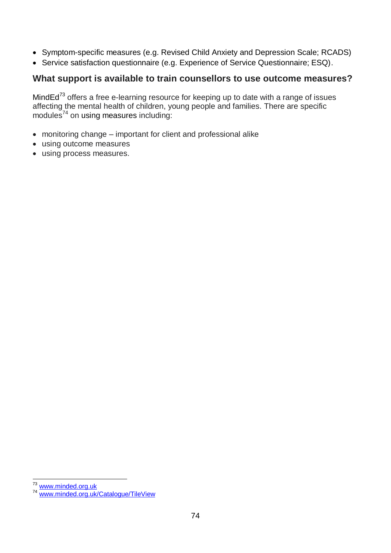- Symptom-specific measures (e.g. Revised Child Anxiety and Depression Scale; RCADS)
- Service satisfaction questionnaire (e.g. Experience of Service Questionnaire; ESQ).

#### **What support is available to train counsellors to use outcome measures?**

MindEd<sup>73</sup> offers a free e-learning resource for keeping up to date with a range of issues affecting the mental health of children, young people and families. There are specific modules<sup> $74$ </sup> on using measures including:

- monitoring change important for client and professional alike
- using outcome measures
- using process measures.

l <sup>73</sup> [www.minded.org.uk](http://www.minded.org.uk/)

<sup>74</sup> [www.minded.org.uk/Catalogue/TileView](http://www.minded.org.uk/Catalogue/TileView)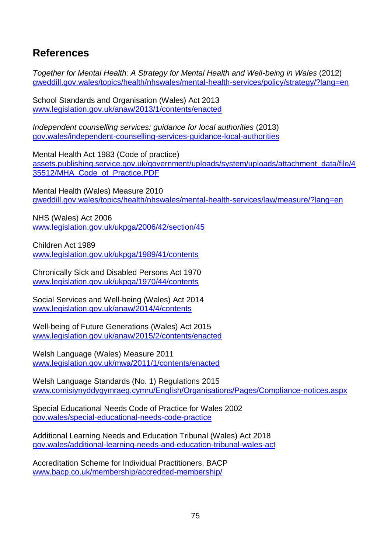# **References**

*Together for Mental Health: A Strategy for Mental Health and Well-being in Wales* (2012) [gweddill.gov.wales/topics/health/nhswales/mental-health-services/policy/strategy/?lang=en](https://gweddill.gov.wales/topics/health/nhswales/mental-health-services/policy/strategy/?lang=en)

School Standards and Organisation (Wales) Act 2013 [www.legislation.gov.uk/anaw/2013/1/contents/enacted](http://www.legislation.gov.uk/anaw/2013/1/contents/enacted)

*Independent counselling services: guidance for local authorities* (2013) [gov.wales/independent-counselling-services-guidance-local-authorities](https://gov.wales/independent-counselling-services-guidance-local-authorities)

Mental Health Act 1983 (Code of practice) [assets.publishing.service.gov.uk/government/uploads/system/uploads/attachment\\_data/file/4](https://assets.publishing.service.gov.uk/government/uploads/system/uploads/attachment_data/file/435512/MHA_Code_of_Practice.PDF) [35512/MHA\\_Code\\_of\\_Practice.PDF](https://assets.publishing.service.gov.uk/government/uploads/system/uploads/attachment_data/file/435512/MHA_Code_of_Practice.PDF)

Mental Health (Wales) Measure 2010 [gweddill.gov.wales/topics/health/nhswales/mental-health-services/law/measure/?lang=en](https://gweddill.gov.wales/topics/health/nhswales/mental-health-services/law/measure/?lang=en)

NHS (Wales) Act 2006 [www.legislation.gov.uk/ukpga/2006/42/section/45](http://www.legislation.gov.uk/ukpga/2006/42/section/45)

Children Act 1989 [www.legislation.gov.uk/ukpga/1989/41/contents](http://www.legislation.gov.uk/ukpga/1989/41/contents)

Chronically Sick and Disabled Persons Act 1970 [www.legislation.gov.uk/ukpga/1970/44/contents](http://www.legislation.gov.uk/ukpga/1970/44/contents)

Social Services and Well-being (Wales) Act 2014 [www.legislation.gov.uk/anaw/2014/4/contents](http://www.legislation.gov.uk/anaw/2014/4/contents)

Well-being of Future Generations (Wales) Act 2015 [www.legislation.gov.uk/anaw/2015/2/contents/enacted](http://www.legislation.gov.uk/anaw/2015/2/contents/enacted)

Welsh Language (Wales) Measure 2011 [www.legislation.gov.uk/mwa/2011/1/contents/enacted](http://www.legislation.gov.uk/mwa/2011/1/contents/enacted)

Welsh Language Standards (No. 1) Regulations 2015 [www.comisiynyddygymraeg.cymru/English/Organisations/Pages/Compliance-notices.aspx](http://www.comisiynyddygymraeg.cymru/English/Organisations/Pages/Compliance-notices.aspx)

Special Educational Needs Code of Practice for Wales 2002 [gov.wales/special-educational-needs-code-practice](https://gov.wales/special-educational-needs-code-practice)

Additional Learning Needs and Education Tribunal (Wales) Act 2018 [gov.wales/additional-learning-needs-and-education-tribunal-wales-act](https://gov.wales/additional-learning-needs-and-education-tribunal-wales-act)

Accreditation Scheme for Individual Practitioners, BACP [www.bacp.co.uk/membership/accredited-membership/](http://www.bacp.co.uk/membership/accredited-membership/)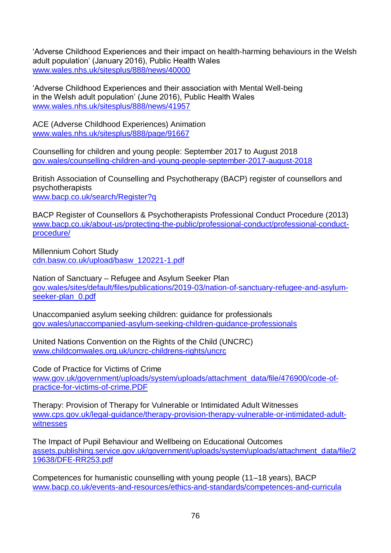'Adverse Childhood Experiences and their impact on health-harming behaviours in the Welsh adult population' (January 2016), Public Health Wales [www.wales.nhs.uk/sitesplus/888/news/40000](http://www.wales.nhs.uk/sitesplus/888/news/40000/)

'Adverse Childhood Experiences and their association with Mental Well-being in the Welsh adult population' (June 2016), Public Health Wales [www.wales.nhs.uk/sitesplus/888/news/41957](http://www.wales.nhs.uk/sitesplus/888/news/41957)

ACE (Adverse Childhood Experiences) Animation [www.wales.nhs.uk/sitesplus/888/page/91667](http://www.wales.nhs.uk/sitesplus/888/page/91667)

Counselling for children and young people: September 2017 to August 2018 [gov.wales/counselling-children-and-young-people-september-2017-august-2018](https://gov.wales/counselling-children-and-young-people-september-2017-august-2018)

British Association of Counselling and Psychotherapy (BACP) register of counsellors and psychotherapists [www.bacp.co.uk/search/Register?q](http://www.bacp.co.uk/search/Register?q)

BACP Register of Counsellors & Psychotherapists Professional Conduct Procedure (2013) [www.bacp.co.uk/about-us/protecting-the-public/professional-conduct/professional-conduct](http://www.bacp.co.uk/about-us/protecting-the-public/professional-conduct/professional-conduct-procedure/)[procedure/](http://www.bacp.co.uk/about-us/protecting-the-public/professional-conduct/professional-conduct-procedure/)

Millennium Cohort Study [cdn.basw.co.uk/upload/basw\\_120221-1.pdf](http://cdn.basw.co.uk/upload/basw_120221-1.pdf)

Nation of Sanctuary – Refugee and Asylum Seeker Plan [gov.wales/sites/default/files/publications/2019-03/nation-of-sanctuary-refugee-and-asylum](https://gov.wales/sites/default/files/publications/2019-03/nation-of-sanctuary-refugee-and-asylum-seeker-plan_0.pdf)[seeker-plan\\_0.pdf](https://gov.wales/sites/default/files/publications/2019-03/nation-of-sanctuary-refugee-and-asylum-seeker-plan_0.pdf)

Unaccompanied asylum seeking children: guidance for professionals [gov.wales/unaccompanied-asylum-seeking-children-guidance-professionals](https://gov.wales/unaccompanied-asylum-seeking-children-guidance-professionals)

United Nations Convention on the Rights of the Child (UNCRC) [www.childcomwales.org.uk/uncrc-childrens-rights/uncrc](http://www.childcomwales.org.uk/uncrc-childrens-rights/uncrc/)

Code of Practice for Victims of Crime [www.gov.uk/government/uploads/system/uploads/attachment\\_data/file/476900/code-of](http://www.gov.uk/government/uploads/system/uploads/attachment_data/file/476900/code-of-practice-for-victims-of-crime.PDF)[practice-for-victims-of-crime.PDF](http://www.gov.uk/government/uploads/system/uploads/attachment_data/file/476900/code-of-practice-for-victims-of-crime.PDF)

Therapy: Provision of Therapy for Vulnerable or Intimidated Adult Witnesses [www.cps.gov.uk/legal-guidance/therapy-provision-therapy-vulnerable-or-intimidated-adult](http://www.cps.gov.uk/legal-guidance/therapy-provision-therapy-vulnerable-or-intimidated-adult-witnesses)[witnesses](http://www.cps.gov.uk/legal-guidance/therapy-provision-therapy-vulnerable-or-intimidated-adult-witnesses)

The Impact of Pupil Behaviour and Wellbeing on Educational Outcomes [assets.publishing.service.gov.uk/government/uploads/system/uploads/attachment\\_data/file/2](https://assets.publishing.service.gov.uk/government/uploads/system/uploads/attachment_data/file/219638/DFE-RR253.pdf) [19638/DFE-RR253.pdf](https://assets.publishing.service.gov.uk/government/uploads/system/uploads/attachment_data/file/219638/DFE-RR253.pdf)

Competences for humanistic counselling with young people (11–18 years), BACP [www.bacp.co.uk/events-and-resources/ethics-and-standards/competences-and-curricula](http://www.bacp.co.uk/events-and-resources/ethics-and-standards/competences-and-curricula)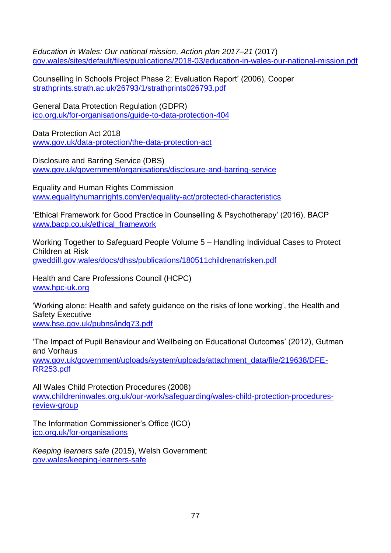*Education in Wales: Our national mission, Action plan 2017–21* (2017) [gov.wales/sites/default/files/publications/2018-03/education-in-wales-our-national-mission.pdf](https://gov.wales/sites/default/files/publications/2018-03/education-in-wales-our-national-mission.pdf)

Counselling in Schools Project Phase 2; Evaluation Report' (2006), Cooper [strathprints.strath.ac.uk/26793/1/strathprints026793.pdf](http://strathprints.strath.ac.uk/26793/1/strathprints026793.pdf)

General Data Protection Regulation (GDPR) [ico.org.uk/for-organisations/guide-to-data-protection-404](https://ico.org.uk/for-organisations/guide-to-data-protection-404/)

Data Protection Act 2018 [www.gov.uk/data-protection/the-data-protection-act](http://www.gov.uk/data-protection/the-data-protection-act)

Disclosure and Barring Service (DBS) [www.gov.uk/government/organisations/disclosure-and-barring-service](http://www.gov.uk/government/organisations/disclosure-and-barring-service)

Equality and Human Rights Commission [www.equalityhumanrights.com/en/equality-act/protected-characteristics](http://www.equalityhumanrights.com/en/equality-act/protected-characteristics)

'Ethical Framework for Good Practice in Counselling & Psychotherapy' (2016), BACP [www.bacp.co.uk/ethical\\_framework](http://www.bacp.co.uk/ethical_framework/)

Working Together to Safeguard People Volume 5 – Handling Individual Cases to Protect Children at Risk [gweddill.gov.wales/docs/dhss/publications/180511childrenatrisken.pdf](https://gweddill.gov.wales/docs/dhss/publications/180511childrenatrisken.pdf)

Health and Care Professions Council (HCPC) [www.hpc-uk.org](http://www.hpc-uk.org/)

'Working alone: Health and safety guidance on the risks of lone working', the Health and Safety Executive [www.hse.gov.uk/pubns/indg73.pdf](http://www.hse.gov.uk/pubns/indg73.pdf)

'The Impact of Pupil Behaviour and Wellbeing on Educational Outcomes' (2012), Gutman and Vorhaus

[www.gov.uk/government/uploads/system/uploads/attachment\\_data/file/219638/DFE-](http://www.gov.uk/government/uploads/system/uploads/attachment_data/file/219638/DFE-RR253.pdf)[RR253.pdf](http://www.gov.uk/government/uploads/system/uploads/attachment_data/file/219638/DFE-RR253.pdf)

All Wales Child Protection Procedures (2008) [www.childreninwales.org.uk/our-work/safeguarding/wales-child-protection-procedures](http://www.childreninwales.org.uk/our-work/safeguarding/wales-child-protection-procedures-review-group/)[review-group](http://www.childreninwales.org.uk/our-work/safeguarding/wales-child-protection-procedures-review-group/)

The Information Commissioner's Office (ICO) [ico.org.uk/for-organisations](https://ico.org.uk/for-organisations/) 

*Keeping learners safe* (2015), Welsh Government: [gov.wales/keeping-learners-safe](https://gov.wales/keeping-learners-safe)